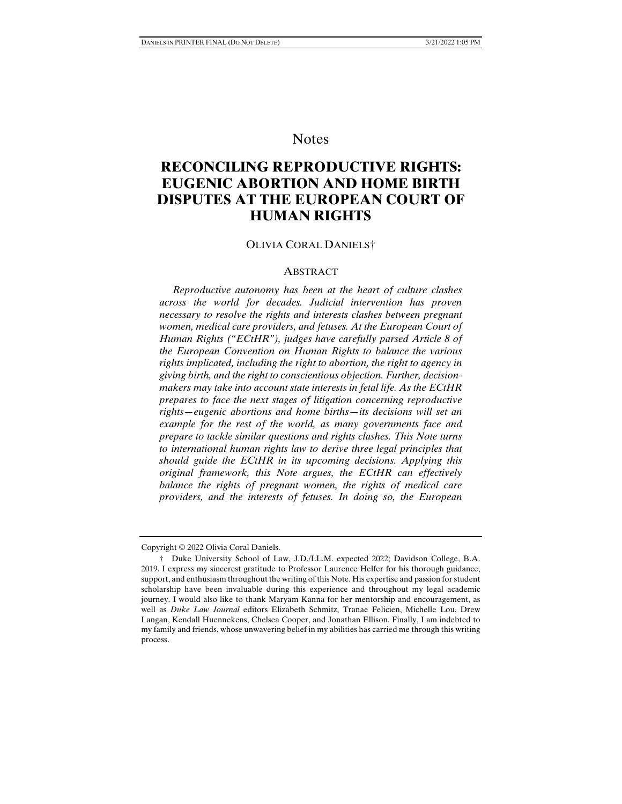# **Notes**

# **RECONCILING REPRODUCTIVE RIGHTS: EUGENIC ABORTION AND HOME BIRTH DISPUTES AT THE EUROPEAN COURT OF HUMAN RIGHTS**

### OLIVIA CORAL DANIELS†

# ABSTRACT

 *Reproductive autonomy has been at the heart of culture clashes across the world for decades. Judicial intervention has proven necessary to resolve the rights and interests clashes between pregnant women, medical care providers, and fetuses. At the European Court of Human Rights ("ECtHR"), judges have carefully parsed Article 8 of the European Convention on Human Rights to balance the various rights implicated, including the right to abortion, the right to agency in giving birth, and the right to conscientious objection. Further, decisionmakers may take into account state interests in fetal life. As the ECtHR prepares to face the next stages of litigation concerning reproductive rights—eugenic abortions and home births—its decisions will set an example for the rest of the world, as many governments face and prepare to tackle similar questions and rights clashes. This Note turns to international human rights law to derive three legal principles that should guide the ECtHR in its upcoming decisions. Applying this original framework, this Note argues, the ECtHR can effectively balance the rights of pregnant women, the rights of medical care providers, and the interests of fetuses. In doing so, the European* 

Copyright © 2022 Olivia Coral Daniels.

 <sup>†</sup> Duke University School of Law, J.D./LL.M. expected 2022; Davidson College, B.A. 2019. I express my sincerest gratitude to Professor Laurence Helfer for his thorough guidance, support, and enthusiasm throughout the writing of this Note. His expertise and passion for student scholarship have been invaluable during this experience and throughout my legal academic journey. I would also like to thank Maryam Kanna for her mentorship and encouragement, as well as *Duke Law Journal* editors Elizabeth Schmitz, Tranae Felicien, Michelle Lou, Drew Langan, Kendall Huennekens, Chelsea Cooper, and Jonathan Ellison. Finally, I am indebted to my family and friends, whose unwavering belief in my abilities has carried me through this writing process.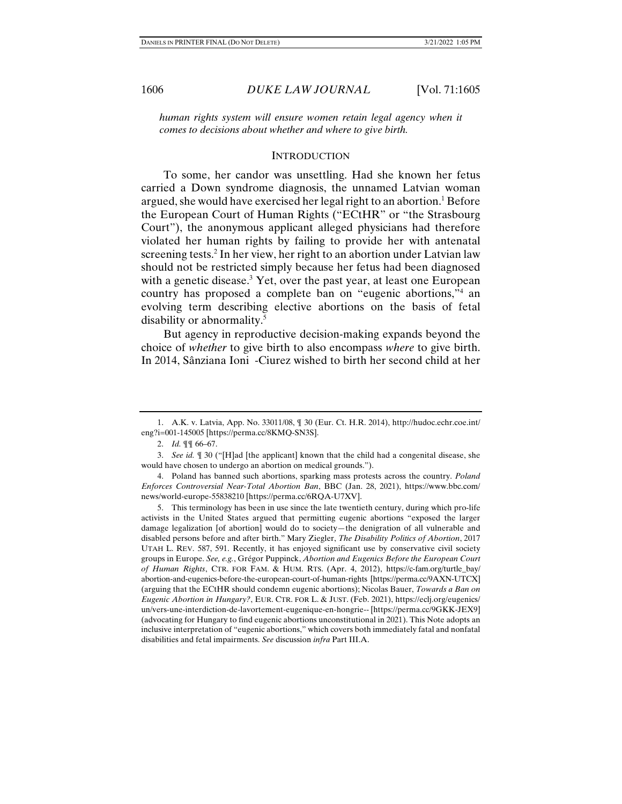1606 *DUKE LAW JOURNAL* [Vol. 71:1605

*human rights system will ensure women retain legal agency when it comes to decisions about whether and where to give birth.* 

#### **INTRODUCTION**

To some, her candor was unsettling. Had she known her fetus carried a Down syndrome diagnosis, the unnamed Latvian woman argued, she would have exercised her legal right to an abortion.<sup>1</sup> Before the European Court of Human Rights ("ECtHR" or "the Strasbourg Court"), the anonymous applicant alleged physicians had therefore violated her human rights by failing to provide her with antenatal screening tests.2 In her view, her right to an abortion under Latvian law should not be restricted simply because her fetus had been diagnosed with a genetic disease.<sup>3</sup> Yet, over the past year, at least one European country has proposed a complete ban on "eugenic abortions,"4 an evolving term describing elective abortions on the basis of fetal disability or abnormality.5

But agency in reproductive decision-making expands beyond the choice of *whether* to give birth to also encompass *where* to give birth. In 2014, Sânziana Ioni -Ciurez wished to birth her second child at her

 <sup>1.</sup> A.K. v. Latvia, App. No. 33011/08, ¶ 30 (Eur. Ct. H.R. 2014), http://hudoc.echr.coe.int/ eng?i=001-145005 [https://perma.cc/8KMQ-SN3S].

 <sup>2.</sup> *Id.* ¶¶ 66–67.

 <sup>3.</sup> *See id.* ¶ 30 ("[H]ad [the applicant] known that the child had a congenital disease, she would have chosen to undergo an abortion on medical grounds.").

 <sup>4.</sup> Poland has banned such abortions, sparking mass protests across the country. *Poland Enforces Controversial Near-Total Abortion Ban*, BBC (Jan. 28, 2021), https://www.bbc.com/ news/world-europe-55838210 [https://perma.cc/6RQA-U7XV].

 <sup>5.</sup> This terminology has been in use since the late twentieth century, during which pro-life activists in the United States argued that permitting eugenic abortions "exposed the larger damage legalization [of abortion] would do to society—the denigration of all vulnerable and disabled persons before and after birth." Mary Ziegler, *The Disability Politics of Abortion*, 2017 UTAH L. REV. 587, 591. Recently, it has enjoyed significant use by conservative civil society groups in Europe. *See, e.g.*, Grégor Puppinck, *Abortion and Eugenics Before the European Court of Human Rights*, CTR. FOR FAM. & HUM. RTS. (Apr. 4, 2012), https://c-fam.org/turtle\_bay/ abortion-and-eugenics-before-the-european-court-of-human-rights [https://perma.cc/9AXN-UTCX] (arguing that the ECtHR should condemn eugenic abortions); Nicolas Bauer, *Towards a Ban on Eugenic Abortion in Hungary?*, EUR. CTR. FOR L. & JUST. (Feb. 2021), https://eclj.org/eugenics/ un/vers-une-interdiction-de-lavortement-eugenique-en-hongrie-- [https://perma.cc/9GKK-JEX9] (advocating for Hungary to find eugenic abortions unconstitutional in 2021). This Note adopts an inclusive interpretation of "eugenic abortions," which covers both immediately fatal and nonfatal disabilities and fetal impairments. *See* discussion *infra* Part III.A.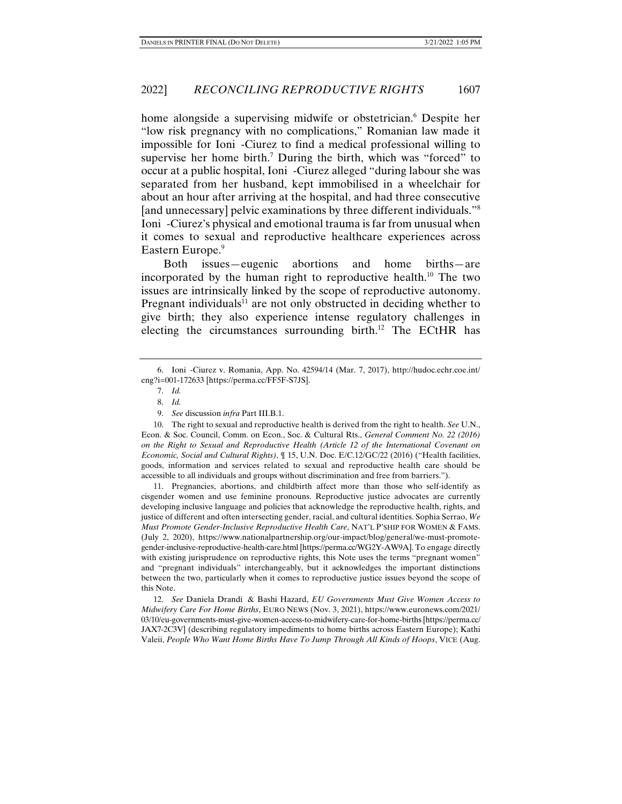home alongside a supervising midwife or obstetrician.<sup>6</sup> Despite her "low risk pregnancy with no complications," Romanian law made it impossible for Ioni -Ciurez to find a medical professional willing to supervise her home birth.<sup>7</sup> During the birth, which was "forced" to occur at a public hospital, Ioni -Ciurez alleged "during labour she was separated from her husband, kept immobilised in a wheelchair for about an hour after arriving at the hospital, and had three consecutive [and unnecessary] pelvic examinations by three different individuals."8 Ioni -Ciurez's physical and emotional trauma is far from unusual when it comes to sexual and reproductive healthcare experiences across Eastern Europe.<sup>9</sup>

Both issues—eugenic abortions and home births—are incorporated by the human right to reproductive health.<sup>10</sup> The two issues are intrinsically linked by the scope of reproductive autonomy. Pregnant individuals<sup>11</sup> are not only obstructed in deciding whether to give birth; they also experience intense regulatory challenges in electing the circumstances surrounding birth.12 The ECtHR has

 11. Pregnancies, abortions, and childbirth affect more than those who self-identify as cisgender women and use feminine pronouns. Reproductive justice advocates are currently developing inclusive language and policies that acknowledge the reproductive health, rights, and justice of different and often intersecting gender, racial, and cultural identities. Sophia Serrao, *We Must Promote Gender-Inclusive Reproductive Health Care*, NAT'L P'SHIP FOR WOMEN & FAMS. (July 2, 2020), https://www.nationalpartnership.org/our-impact/blog/general/we-must-promotegender-inclusive-reproductive-health-care.html [https://perma.cc/WG2Y-AW9A]. To engage directly with existing jurisprudence on reproductive rights, this Note uses the terms "pregnant women" and "pregnant individuals" interchangeably, but it acknowledges the important distinctions between the two, particularly when it comes to reproductive justice issues beyond the scope of this Note.

 12. *See* Daniela Drandi & Bashi Hazard, *EU Governments Must Give Women Access to Midwifery Care For Home Births*, EURO NEWS (Nov. 3, 2021), https://www.euronews.com/2021/ 03/10/eu-governments-must-give-women-access-to-midwifery-care-for-home-births [https://perma.cc/ JAX7-2C3V] (describing regulatory impediments to home births across Eastern Europe); Kathi Valeii, *People Who Want Home Births Have To Jump Through All Kinds of Hoops*, VICE (Aug.

 <sup>6.</sup> Ioni -Ciurez v. Romania, App. No. 42594/14 (Mar. 7, 2017), http://hudoc.echr.coe.int/ eng?i=001-172633 [https://perma.cc/FF5F-S7JS].

 <sup>7.</sup> *Id.*

 <sup>8.</sup> *Id.* 

 <sup>9.</sup> *See* discussion *infra* Part III.B.1.

 <sup>10.</sup> The right to sexual and reproductive health is derived from the right to health. *See* U.N., Econ. & Soc. Council, Comm. on Econ., Soc. & Cultural Rts., *General Comment No. 22 (2016) on the Right to Sexual and Reproductive Health (Article 12 of the International Covenant on Economic, Social and Cultural Rights)*, ¶ 15, U.N. Doc. E/C.12/GC/22 (2016) ("Health facilities, goods, information and services related to sexual and reproductive health care should be accessible to all individuals and groups without discrimination and free from barriers.").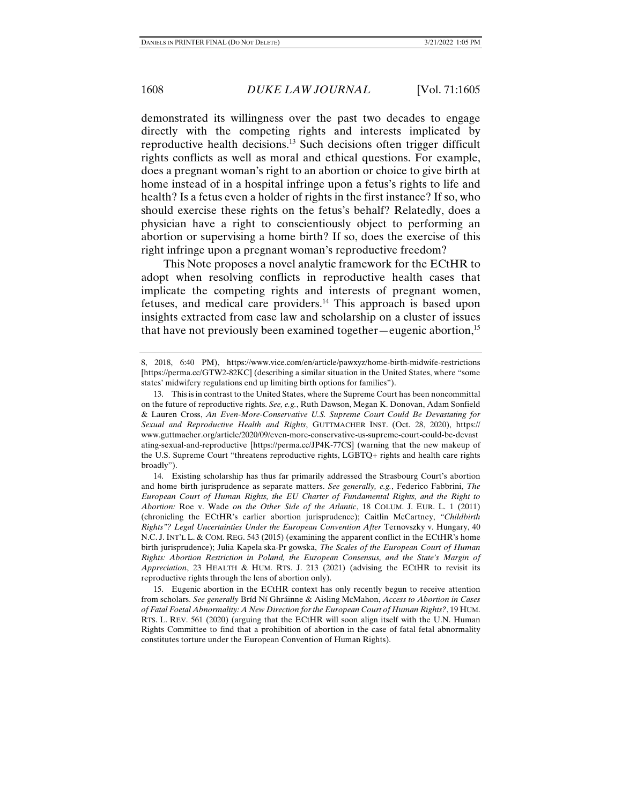demonstrated its willingness over the past two decades to engage directly with the competing rights and interests implicated by reproductive health decisions.13 Such decisions often trigger difficult rights conflicts as well as moral and ethical questions. For example, does a pregnant woman's right to an abortion or choice to give birth at home instead of in a hospital infringe upon a fetus's rights to life and health? Is a fetus even a holder of rights in the first instance? If so, who should exercise these rights on the fetus's behalf? Relatedly, does a physician have a right to conscientiously object to performing an abortion or supervising a home birth? If so, does the exercise of this right infringe upon a pregnant woman's reproductive freedom?

This Note proposes a novel analytic framework for the ECtHR to adopt when resolving conflicts in reproductive health cases that implicate the competing rights and interests of pregnant women, fetuses, and medical care providers.<sup>14</sup> This approach is based upon insights extracted from case law and scholarship on a cluster of issues that have not previously been examined together—eugenic abortion,<sup>15</sup>

<sup>8, 2018, 6:40</sup> PM), https://www.vice.com/en/article/pawxyz/home-birth-midwife-restrictions [https://perma.cc/GTW2-82KC] (describing a similar situation in the United States, where "some states' midwifery regulations end up limiting birth options for families").

 <sup>13.</sup> This is in contrast to the United States, where the Supreme Court has been noncommittal on the future of reproductive rights. *See, e.g.*, Ruth Dawson, Megan K. Donovan, Adam Sonfield & Lauren Cross, *An Even-More-Conservative U.S. Supreme Court Could Be Devastating for Sexual and Reproductive Health and Rights*, GUTTMACHER INST. (Oct. 28, 2020), https:// www.guttmacher.org/article/2020/09/even-more-conservative-us-supreme-court-could-be-devast ating-sexual-and-reproductive [https://perma.cc/JP4K-77CS] (warning that the new makeup of the U.S. Supreme Court "threatens reproductive rights, LGBTQ+ rights and health care rights broadly").

 <sup>14.</sup> Existing scholarship has thus far primarily addressed the Strasbourg Court's abortion and home birth jurisprudence as separate matters. *See generally, e.g.*, Federico Fabbrini, *The European Court of Human Rights, the EU Charter of Fundamental Rights, and the Right to Abortion:* Roe v. Wade *on the Other Side of the Atlantic*, 18 COLUM. J. EUR. L. 1 (2011) (chronicling the ECtHR's earlier abortion jurisprudence); Caitlin McCartney, *"Childbirth Rights"? Legal Uncertainties Under the European Convention After* Ternovszky v. Hungary, 40 N.C. J. INT'L L. & COM. REG. 543 (2015) (examining the apparent conflict in the ECtHR's home birth jurisprudence); Julia Kapela ska-Pr gowska, *The Scales of the European Court of Human Rights: Abortion Restriction in Poland, the European Consensus, and the State's Margin of Appreciation*, 23 HEALTH & HUM. RTS. J. 213 (2021) (advising the ECtHR to revisit its reproductive rights through the lens of abortion only).

 <sup>15.</sup> Eugenic abortion in the ECtHR context has only recently begun to receive attention from scholars. *See generally* Bríd Ní Ghráinne & Aisling McMahon, *Access to Abortion in Cases of Fatal Foetal Abnormality: A New Direction for the European Court of Human Rights?*, 19 HUM. RTS. L. REV. 561 (2020) (arguing that the ECtHR will soon align itself with the U.N. Human Rights Committee to find that a prohibition of abortion in the case of fatal fetal abnormality constitutes torture under the European Convention of Human Rights).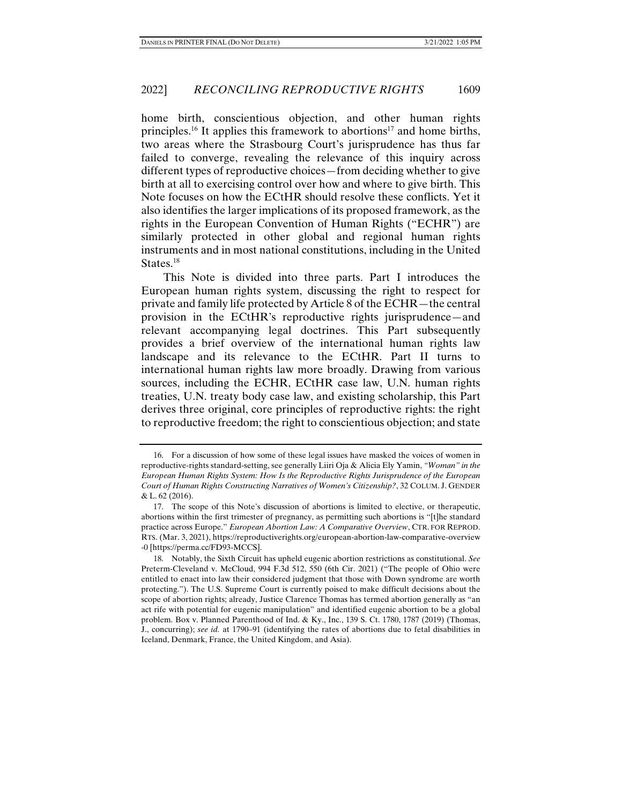home birth, conscientious objection, and other human rights principles.<sup>16</sup> It applies this framework to abortions<sup>17</sup> and home births, two areas where the Strasbourg Court's jurisprudence has thus far failed to converge, revealing the relevance of this inquiry across different types of reproductive choices—from deciding whether to give birth at all to exercising control over how and where to give birth. This Note focuses on how the ECtHR should resolve these conflicts. Yet it also identifies the larger implications of its proposed framework, as the rights in the European Convention of Human Rights ("ECHR") are similarly protected in other global and regional human rights instruments and in most national constitutions, including in the United States.<sup>18</sup>

This Note is divided into three parts. Part I introduces the European human rights system, discussing the right to respect for private and family life protected by Article 8 of the ECHR—the central provision in the ECtHR's reproductive rights jurisprudence—and relevant accompanying legal doctrines. This Part subsequently provides a brief overview of the international human rights law landscape and its relevance to the ECtHR. Part II turns to international human rights law more broadly. Drawing from various sources, including the ECHR, ECtHR case law, U.N. human rights treaties, U.N. treaty body case law, and existing scholarship, this Part derives three original, core principles of reproductive rights: the right to reproductive freedom; the right to conscientious objection; and state

 <sup>16.</sup> For a discussion of how some of these legal issues have masked the voices of women in reproductive-rights standard-setting, see generally Liiri Oja & Alicia Ely Yamin, *"Woman" in the European Human Rights System: How Is the Reproductive Rights Jurisprudence of the European Court of Human Rights Constructing Narratives of Women's Citizenship?*, 32 COLUM. J. GENDER & L. 62 (2016).

 <sup>17.</sup> The scope of this Note's discussion of abortions is limited to elective, or therapeutic, abortions within the first trimester of pregnancy, as permitting such abortions is "[t]he standard practice across Europe." *European Abortion Law: A Comparative Overview*, CTR. FOR REPROD. RTS. (Mar. 3, 2021), https://reproductiverights.org/european-abortion-law-comparative-overview -0 [https://perma.cc/FD93-MCCS].

 <sup>18.</sup> Notably, the Sixth Circuit has upheld eugenic abortion restrictions as constitutional. *See*  Preterm-Cleveland v. McCloud, 994 F.3d 512, 550 (6th Cir. 2021) ("The people of Ohio were entitled to enact into law their considered judgment that those with Down syndrome are worth protecting."). The U.S. Supreme Court is currently poised to make difficult decisions about the scope of abortion rights; already, Justice Clarence Thomas has termed abortion generally as "an act rife with potential for eugenic manipulation" and identified eugenic abortion to be a global problem. Box v. Planned Parenthood of Ind. & Ky., Inc., 139 S. Ct. 1780, 1787 (2019) (Thomas, J., concurring); *see id.* at 1790–91 (identifying the rates of abortions due to fetal disabilities in Iceland, Denmark, France, the United Kingdom, and Asia).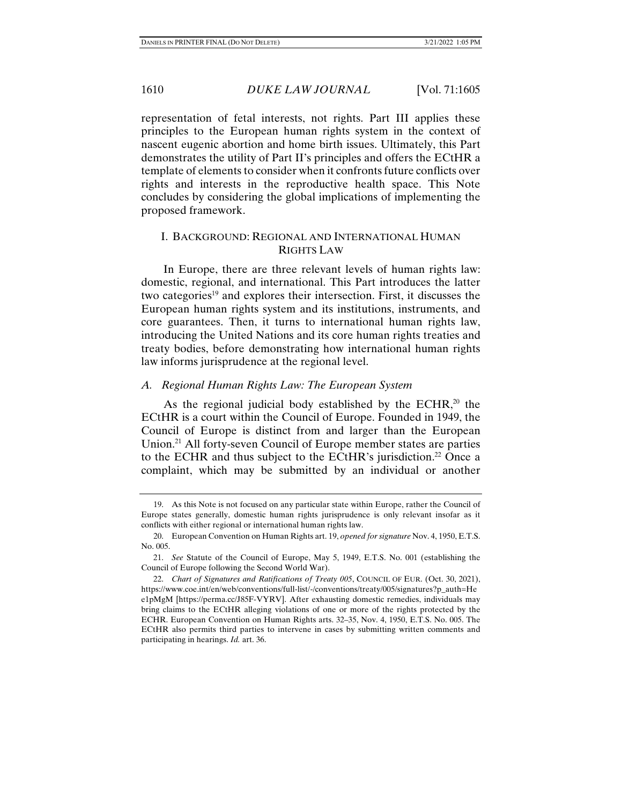representation of fetal interests, not rights. Part III applies these principles to the European human rights system in the context of nascent eugenic abortion and home birth issues. Ultimately, this Part demonstrates the utility of Part II's principles and offers the ECtHR a template of elements to consider when it confronts future conflicts over rights and interests in the reproductive health space. This Note concludes by considering the global implications of implementing the proposed framework.

# I. BACKGROUND: REGIONAL AND INTERNATIONAL HUMAN RIGHTS LAW

In Europe, there are three relevant levels of human rights law: domestic, regional, and international. This Part introduces the latter two categories<sup>19</sup> and explores their intersection. First, it discusses the European human rights system and its institutions, instruments, and core guarantees. Then, it turns to international human rights law, introducing the United Nations and its core human rights treaties and treaty bodies, before demonstrating how international human rights law informs jurisprudence at the regional level.

### *A. Regional Human Rights Law: The European System*

As the regional judicial body established by the ECHR,<sup>20</sup> the ECtHR is a court within the Council of Europe. Founded in 1949, the Council of Europe is distinct from and larger than the European Union.<sup>21</sup> All forty-seven Council of Europe member states are parties to the ECHR and thus subject to the ECtHR's jurisdiction.<sup>22</sup> Once a complaint, which may be submitted by an individual or another

 <sup>19.</sup> As this Note is not focused on any particular state within Europe, rather the Council of Europe states generally, domestic human rights jurisprudence is only relevant insofar as it conflicts with either regional or international human rights law.

 <sup>20.</sup> European Convention on Human Rights art. 19, *opened for signature* Nov. 4, 1950, E.T.S. No. 005.

 <sup>21.</sup> *See* Statute of the Council of Europe, May 5, 1949, E.T.S. No. 001 (establishing the Council of Europe following the Second World War).

 <sup>22.</sup> *Chart of Signatures and Ratifications of Treaty 005*, COUNCIL OF EUR. (Oct. 30, 2021), https://www.coe.int/en/web/conventions/full-list/-/conventions/treaty/005/signatures?p\_auth=He e1pMgM [https://perma.cc/J85F-VYRV]. After exhausting domestic remedies, individuals may bring claims to the ECtHR alleging violations of one or more of the rights protected by the ECHR. European Convention on Human Rights arts. 32–35, Nov. 4, 1950, E.T.S. No. 005. The ECtHR also permits third parties to intervene in cases by submitting written comments and participating in hearings. *Id.* art. 36.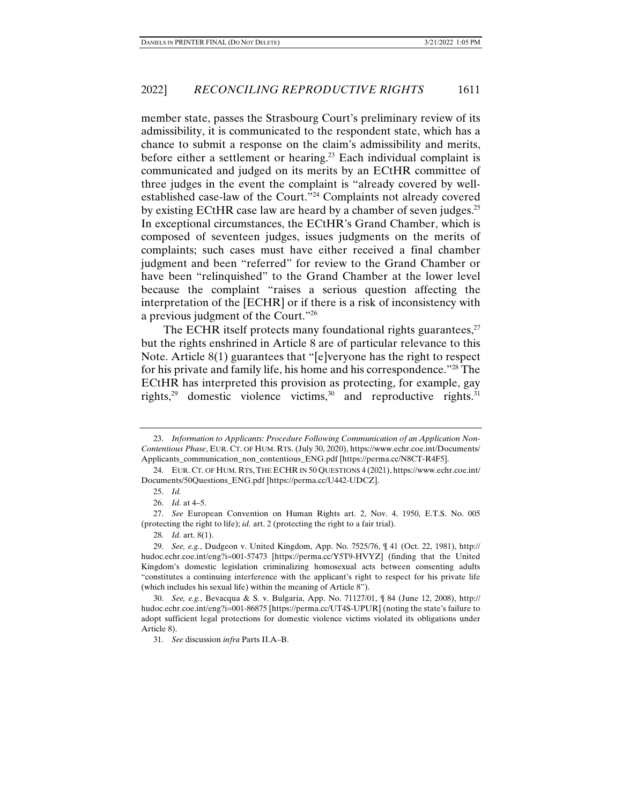member state, passes the Strasbourg Court's preliminary review of its admissibility, it is communicated to the respondent state, which has a chance to submit a response on the claim's admissibility and merits, before either a settlement or hearing.<sup>23</sup> Each individual complaint is communicated and judged on its merits by an ECtHR committee of three judges in the event the complaint is "already covered by wellestablished case-law of the Court."24 Complaints not already covered by existing ECtHR case law are heard by a chamber of seven judges.<sup>25</sup> In exceptional circumstances, the ECtHR's Grand Chamber, which is composed of seventeen judges, issues judgments on the merits of complaints; such cases must have either received a final chamber judgment and been "referred" for review to the Grand Chamber or have been "relinquished" to the Grand Chamber at the lower level because the complaint "raises a serious question affecting the interpretation of the [ECHR] or if there is a risk of inconsistency with a previous judgment of the Court."26

The ECHR itself protects many foundational rights guarantees, $27$ but the rights enshrined in Article 8 are of particular relevance to this Note. Article 8(1) guarantees that "[e]veryone has the right to respect for his private and family life, his home and his correspondence."28 The ECtHR has interpreted this provision as protecting, for example, gay rights, $29$  domestic violence victims, $30$  and reproductive rights.  $31$ 

<sup>23.</sup> *Information to Applicants: Procedure Following Communication of an Application Non-Contentious Phase*, EUR. CT. OF HUM. RTS. (July 30, 2020), https://www.echr.coe.int/Documents/ Applicants\_communication\_non\_contentious\_ENG.pdf [https://perma.cc/N8CT-R4F5].

 <sup>24.</sup> EUR. CT. OF HUM. RTS, THE ECHR IN 50 QUESTIONS 4 (2021), https://www.echr.coe.int/ Documents/50Questions\_ENG.pdf [https://perma.cc/U442-UDCZ].

 <sup>25.</sup> *Id.*

 <sup>26.</sup> *Id.* at 4–5.

 <sup>27.</sup> *See* European Convention on Human Rights art. 2, Nov. 4, 1950, E.T.S. No. 005 (protecting the right to life); *id.* art. 2 (protecting the right to a fair trial).

 <sup>28.</sup> *Id.* art. 8(1).

 <sup>29.</sup> *See, e.g.*, Dudgeon v. United Kingdom, App. No. 7525/76, ¶ 41 (Oct. 22, 1981), http:// hudoc.echr.coe.int/eng?i=001-57473 [https://perma.cc/Y5T9-HVYZ] (finding that the United Kingdom's domestic legislation criminalizing homosexual acts between consenting adults "constitutes a continuing interference with the applicant's right to respect for his private life (which includes his sexual life) within the meaning of Article 8").

 <sup>30.</sup> *See, e.g.*, Bevacqua & S. v. Bulgaria, App. No. 71127/01, ¶ 84 (June 12, 2008), http:// hudoc.echr.coe.int/eng?i=001-86875 [https://perma.cc/UT4S-UPUR] (noting the state's failure to adopt sufficient legal protections for domestic violence victims violated its obligations under Article 8).

 <sup>31.</sup> *See* discussion *infra* Parts II.A–B.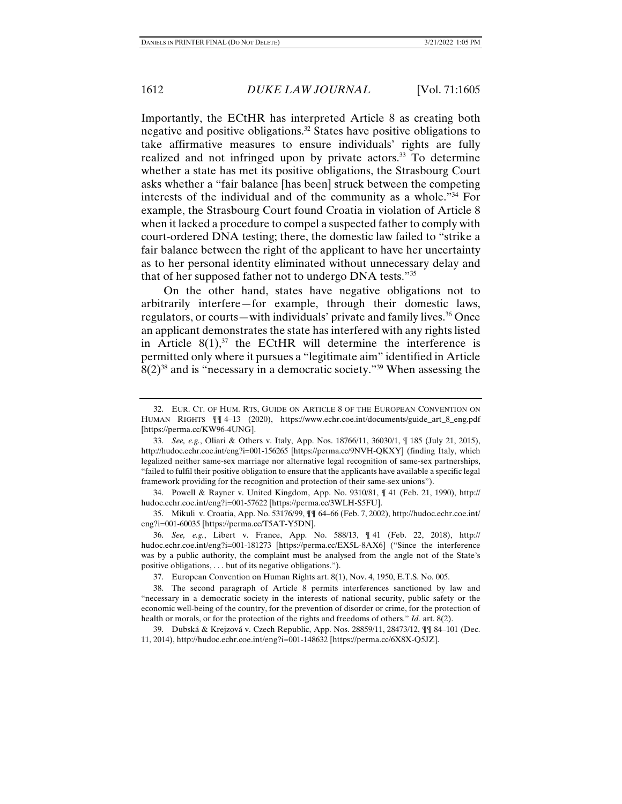Importantly, the ECtHR has interpreted Article 8 as creating both negative and positive obligations.32 States have positive obligations to take affirmative measures to ensure individuals' rights are fully realized and not infringed upon by private actors.<sup>33</sup> To determine whether a state has met its positive obligations, the Strasbourg Court asks whether a "fair balance [has been] struck between the competing interests of the individual and of the community as a whole."34 For example, the Strasbourg Court found Croatia in violation of Article 8 when it lacked a procedure to compel a suspected father to comply with court-ordered DNA testing; there, the domestic law failed to "strike a fair balance between the right of the applicant to have her uncertainty as to her personal identity eliminated without unnecessary delay and that of her supposed father not to undergo DNA tests."35

On the other hand, states have negative obligations not to arbitrarily interfere—for example, through their domestic laws, regulators, or courts—with individuals' private and family lives.<sup>36</sup> Once an applicant demonstrates the state has interfered with any rights listed in Article  $8(1)$ ,<sup>37</sup> the ECtHR will determine the interference is permitted only where it pursues a "legitimate aim" identified in Article  $8(2)^{38}$  and is "necessary in a democratic society."<sup>39</sup> When assessing the

 34. Powell & Rayner v. United Kingdom, App. No. 9310/81, ¶ 41 (Feb. 21, 1990), http:// hudoc.echr.coe.int/eng?i=001-57622 [https://perma.cc/3WLH-S5FU].

 35. Mikuli v. Croatia, App. No. 53176/99, ¶¶ 64–66 (Feb. 7, 2002), http://hudoc.echr.coe.int/ eng?i=001-60035 [https://perma.cc/T5AT-Y5DN].

 36. *See, e.g.*, Libert v. France, App. No. 588/13, ¶ 41 (Feb. 22, 2018), http:// hudoc.echr.coe.int/eng?i=001-181273 [https://perma.cc/EX5L-8AX6] ("Since the interference was by a public authority, the complaint must be analysed from the angle not of the State's positive obligations, . . . but of its negative obligations.").

37. European Convention on Human Rights art. 8(1), Nov. 4, 1950, E.T.S. No. 005.

 38. The second paragraph of Article 8 permits interferences sanctioned by law and "necessary in a democratic society in the interests of national security, public safety or the economic well-being of the country, for the prevention of disorder or crime, for the protection of health or morals, or for the protection of the rights and freedoms of others." *Id.* art. 8(2).

 39. Dubská & Krejzová v. Czech Republic, App. Nos. 28859/11, 28473/12, ¶¶ 84–101 (Dec. 11, 2014), http://hudoc.echr.coe.int/eng?i=001-148632 [https://perma.cc/6X8X-Q5JZ].

 <sup>32.</sup> EUR. CT. OF HUM. RTS, GUIDE ON ARTICLE 8 OF THE EUROPEAN CONVENTION ON HUMAN RIGHTS ¶¶ 4–13 (2020), https://www.echr.coe.int/documents/guide\_art\_8\_eng.pdf [https://perma.cc/KW96-4UNG].

 <sup>33.</sup> *See, e.g.*, Oliari & Others v. Italy, App. Nos. 18766/11, 36030/1, ¶ 185 (July 21, 2015), http://hudoc.echr.coe.int/eng?i=001-156265 [https://perma.cc/9NVH-QKXY] (finding Italy, which legalized neither same-sex marriage nor alternative legal recognition of same-sex partnerships, "failed to fulfil their positive obligation to ensure that the applicants have available a specific legal framework providing for the recognition and protection of their same-sex unions").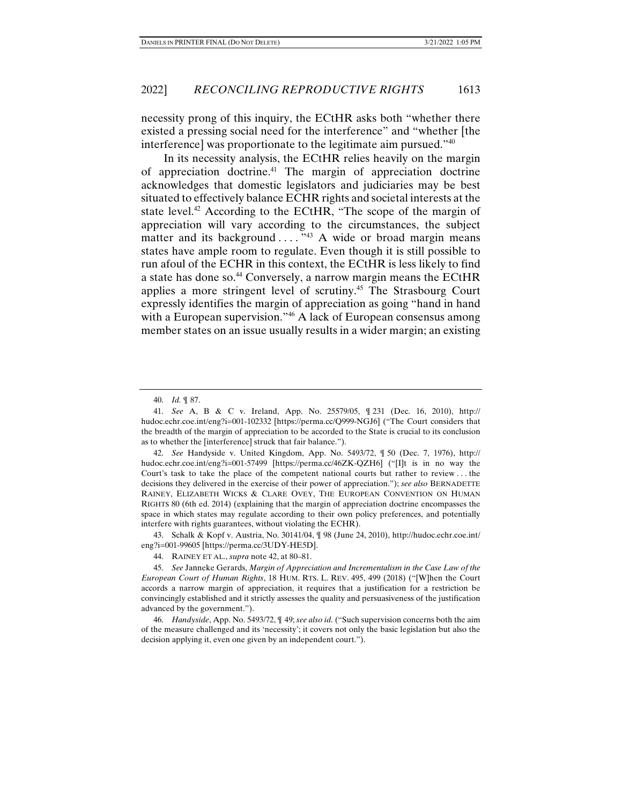necessity prong of this inquiry, the ECtHR asks both "whether there existed a pressing social need for the interference" and "whether [the interference] was proportionate to the legitimate aim pursued."40

In its necessity analysis, the ECtHR relies heavily on the margin of appreciation doctrine.41 The margin of appreciation doctrine acknowledges that domestic legislators and judiciaries may be best situated to effectively balance ECHR rights and societal interests at the state level.<sup>42</sup> According to the ECtHR, "The scope of the margin of appreciation will vary according to the circumstances, the subject matter and its background  $\dots$   $^{343}$  A wide or broad margin means states have ample room to regulate. Even though it is still possible to run afoul of the ECHR in this context, the ECtHR is less likely to find a state has done so.44 Conversely, a narrow margin means the ECtHR applies a more stringent level of scrutiny.45 The Strasbourg Court expressly identifies the margin of appreciation as going "hand in hand with a European supervision."<sup>46</sup> A lack of European consensus among member states on an issue usually results in a wider margin; an existing

 42. *See* Handyside v. United Kingdom, App. No. 5493/72, ¶ 50 (Dec. 7, 1976), http:// hudoc.echr.coe.int/eng?i=001-57499 [https://perma.cc/46ZK-QZH6] ("[I]t is in no way the Court's task to take the place of the competent national courts but rather to review . . . the decisions they delivered in the exercise of their power of appreciation."); *see also* BERNADETTE RAINEY, ELIZABETH WICKS & CLARE OVEY, THE EUROPEAN CONVENTION ON HUMAN RIGHTS 80 (6th ed. 2014) (explaining that the margin of appreciation doctrine encompasses the space in which states may regulate according to their own policy preferences, and potentially interfere with rights guarantees, without violating the ECHR).

 43. Schalk & Kopf v. Austria, No. 30141/04, ¶ 98 (June 24, 2010), http://hudoc.echr.coe.int/ eng?i=001-99605 [https://perma.cc/3UDY-HE5D].

 <sup>40.</sup> *Id.* ¶ 87.

 <sup>41.</sup> *See* A, B & C v. Ireland, App. No. 25579/05, ¶ 231 (Dec. 16, 2010), http:// hudoc.echr.coe.int/eng?i=001-102332 [https://perma.cc/Q999-NGJ6] ("The Court considers that the breadth of the margin of appreciation to be accorded to the State is crucial to its conclusion as to whether the [interference] struck that fair balance.").

 <sup>44.</sup> RAINEY ET AL., *supra* note 42, at 80–81.

 <sup>45.</sup> *See* Janneke Gerards, *Margin of Appreciation and Incrementalism in the Case Law of the European Court of Human Rights*, 18 HUM. RTS. L. REV. 495, 499 (2018) ("[W]hen the Court accords a narrow margin of appreciation, it requires that a justification for a restriction be convincingly established and it strictly assesses the quality and persuasiveness of the justification advanced by the government.").

 <sup>46.</sup> *Handyside*, App. No. 5493/72, ¶ 49; *see also id.* ("Such supervision concerns both the aim of the measure challenged and its 'necessity'; it covers not only the basic legislation but also the decision applying it, even one given by an independent court.").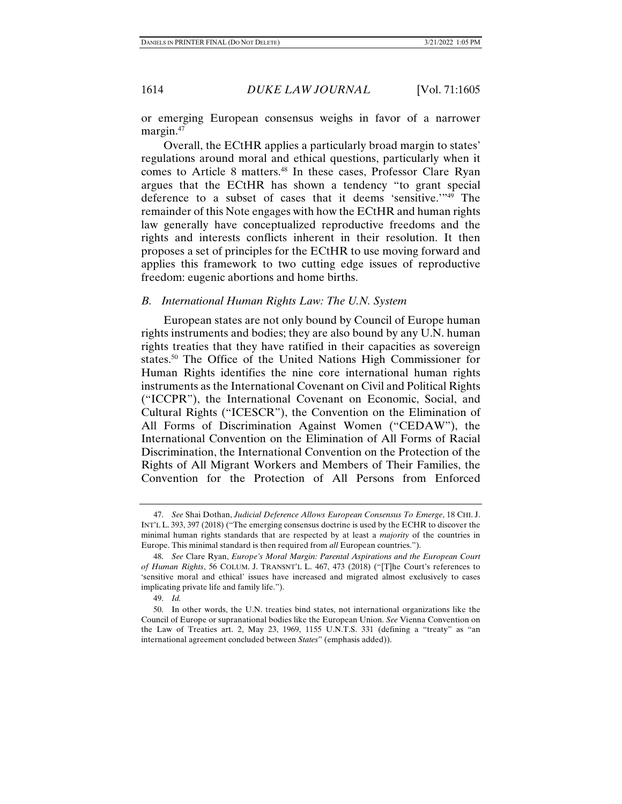or emerging European consensus weighs in favor of a narrower margin.<sup>47</sup>

Overall, the ECtHR applies a particularly broad margin to states' regulations around moral and ethical questions, particularly when it comes to Article 8 matters.<sup>48</sup> In these cases, Professor Clare Ryan argues that the ECtHR has shown a tendency "to grant special deference to a subset of cases that it deems 'sensitive.'"49 The remainder of this Note engages with how the ECtHR and human rights law generally have conceptualized reproductive freedoms and the rights and interests conflicts inherent in their resolution. It then proposes a set of principles for the ECtHR to use moving forward and applies this framework to two cutting edge issues of reproductive freedom: eugenic abortions and home births.

### *B. International Human Rights Law: The U.N. System*

European states are not only bound by Council of Europe human rights instruments and bodies; they are also bound by any U.N. human rights treaties that they have ratified in their capacities as sovereign states.<sup>50</sup> The Office of the United Nations High Commissioner for Human Rights identifies the nine core international human rights instruments as the International Covenant on Civil and Political Rights ("ICCPR"), the International Covenant on Economic, Social, and Cultural Rights ("ICESCR"), the Convention on the Elimination of All Forms of Discrimination Against Women ("CEDAW"), the International Convention on the Elimination of All Forms of Racial Discrimination, the International Convention on the Protection of the Rights of All Migrant Workers and Members of Their Families, the Convention for the Protection of All Persons from Enforced

 <sup>47.</sup> *See* Shai Dothan, *Judicial Deference Allows European Consensus To Emerge*, 18 CHI. J. INT'L L. 393, 397 (2018) ("The emerging consensus doctrine is used by the ECHR to discover the minimal human rights standards that are respected by at least a *majority* of the countries in Europe. This minimal standard is then required from *all* European countries.").

 <sup>48.</sup> *See* Clare Ryan, *Europe's Moral Margin: Parental Aspirations and the European Court of Human Rights*, 56 COLUM. J. TRANSNT'L L. 467, 473 (2018) ("[T]he Court's references to 'sensitive moral and ethical' issues have increased and migrated almost exclusively to cases implicating private life and family life.").

 <sup>49.</sup> *Id.* 

 <sup>50.</sup> In other words, the U.N. treaties bind states, not international organizations like the Council of Europe or supranational bodies like the European Union. *See* Vienna Convention on the Law of Treaties art. 2, May 23, 1969, 1155 U.N.T.S. 331 (defining a "treaty" as "an international agreement concluded between *States*" (emphasis added)).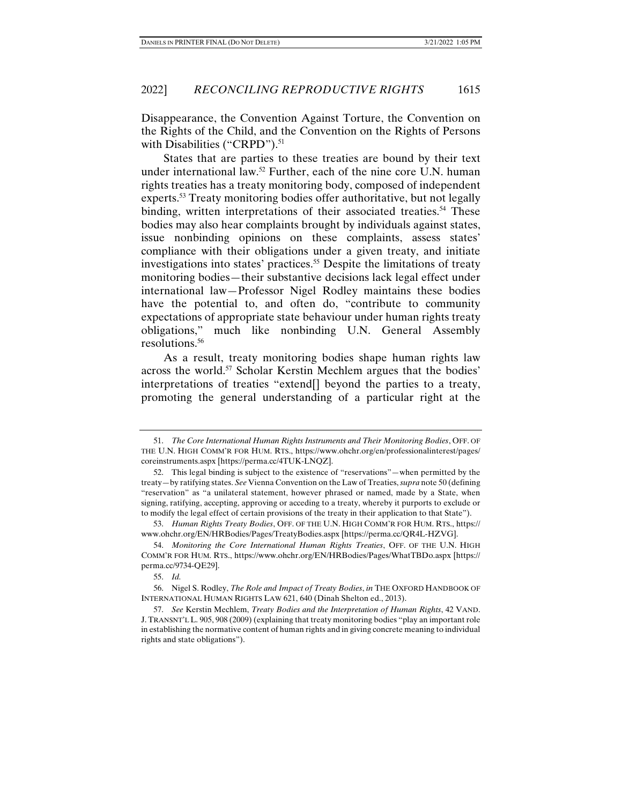Disappearance, the Convention Against Torture, the Convention on the Rights of the Child, and the Convention on the Rights of Persons with Disabilities ("CRPD").<sup>51</sup>

States that are parties to these treaties are bound by their text under international law.<sup>52</sup> Further, each of the nine core U.N. human rights treaties has a treaty monitoring body, composed of independent experts.<sup>53</sup> Treaty monitoring bodies offer authoritative, but not legally binding, written interpretations of their associated treaties.<sup>54</sup> These bodies may also hear complaints brought by individuals against states, issue nonbinding opinions on these complaints, assess states' compliance with their obligations under a given treaty, and initiate investigations into states' practices.<sup>55</sup> Despite the limitations of treaty monitoring bodies—their substantive decisions lack legal effect under international law—Professor Nigel Rodley maintains these bodies have the potential to, and often do, "contribute to community expectations of appropriate state behaviour under human rights treaty obligations," much like nonbinding U.N. General Assembly resolutions.56

As a result, treaty monitoring bodies shape human rights law across the world.57 Scholar Kerstin Mechlem argues that the bodies' interpretations of treaties "extend[] beyond the parties to a treaty, promoting the general understanding of a particular right at the

 <sup>51.</sup> *The Core International Human Rights Instruments and Their Monitoring Bodies*, OFF. OF THE U.N. HIGH COMM'R FOR HUM. RTS., https://www.ohchr.org/en/professionalinterest/pages/ coreinstruments.aspx [https://perma.cc/4TUK-LNQZ].

 <sup>52.</sup> This legal binding is subject to the existence of "reservations"—when permitted by the treaty—by ratifying states. *See* Vienna Convention on the Law of Treaties, *supra* note 50 (defining "reservation" as "a unilateral statement, however phrased or named, made by a State, when signing, ratifying, accepting, approving or acceding to a treaty, whereby it purports to exclude or to modify the legal effect of certain provisions of the treaty in their application to that State").

 <sup>53.</sup> *Human Rights Treaty Bodies*, OFF. OF THE U.N. HIGH COMM'R FOR HUM. RTS., https:// www.ohchr.org/EN/HRBodies/Pages/TreatyBodies.aspx [https://perma.cc/QR4L-HZVG].

 <sup>54.</sup> *Monitoring the Core International Human Rights Treaties*, OFF. OF THE U.N. HIGH COMM'R FOR HUM. RTS., https://www.ohchr.org/EN/HRBodies/Pages/WhatTBDo.aspx [https:// perma.cc/9734-QE29].

 <sup>55.</sup> *Id.* 

 <sup>56.</sup> Nigel S. Rodley, *The Role and Impact of Treaty Bodies*, *in* THE OXFORD HANDBOOK OF INTERNATIONAL HUMAN RIGHTS LAW 621, 640 (Dinah Shelton ed., 2013).

 <sup>57.</sup> *See* Kerstin Mechlem, *Treaty Bodies and the Interpretation of Human Rights*, 42 VAND. J.TRANSNT'L L. 905, 908 (2009) (explaining that treaty monitoring bodies "play an important role in establishing the normative content of human rights and in giving concrete meaning to individual rights and state obligations").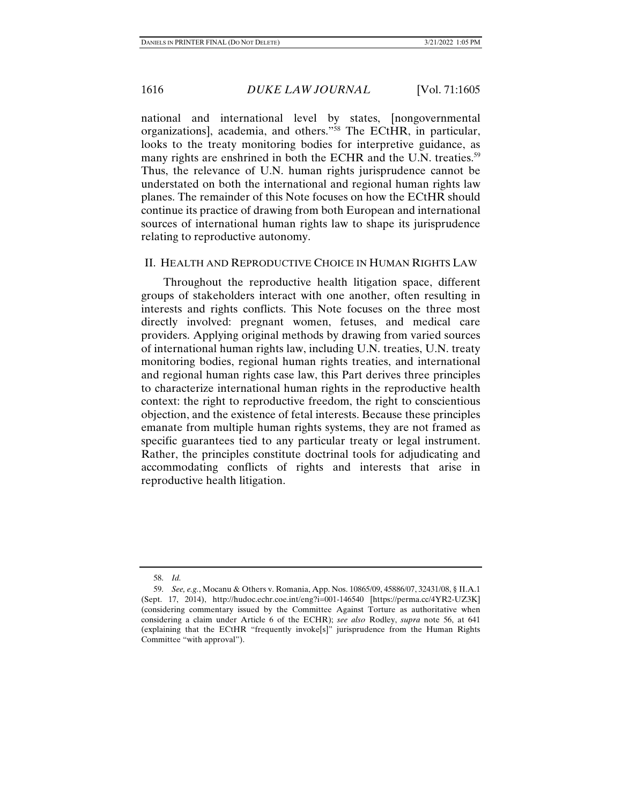national and international level by states, [nongovernmental organizations], academia, and others."58 The ECtHR, in particular, looks to the treaty monitoring bodies for interpretive guidance, as many rights are enshrined in both the ECHR and the U.N. treaties.<sup>59</sup> Thus, the relevance of U.N. human rights jurisprudence cannot be understated on both the international and regional human rights law planes. The remainder of this Note focuses on how the ECtHR should continue its practice of drawing from both European and international sources of international human rights law to shape its jurisprudence relating to reproductive autonomy.

### II. HEALTH AND REPRODUCTIVE CHOICE IN HUMAN RIGHTS LAW

Throughout the reproductive health litigation space, different groups of stakeholders interact with one another, often resulting in interests and rights conflicts. This Note focuses on the three most directly involved: pregnant women, fetuses, and medical care providers. Applying original methods by drawing from varied sources of international human rights law, including U.N. treaties, U.N. treaty monitoring bodies, regional human rights treaties, and international and regional human rights case law, this Part derives three principles to characterize international human rights in the reproductive health context: the right to reproductive freedom, the right to conscientious objection, and the existence of fetal interests. Because these principles emanate from multiple human rights systems, they are not framed as specific guarantees tied to any particular treaty or legal instrument. Rather, the principles constitute doctrinal tools for adjudicating and accommodating conflicts of rights and interests that arise in reproductive health litigation.

 <sup>58.</sup> *Id.* 

 <sup>59.</sup> *See, e.g.*, Mocanu & Others v. Romania, App. Nos. 10865/09, 45886/07, 32431/08, § II.A.1 (Sept. 17, 2014), http://hudoc.echr.coe.int/eng?i=001-146540 [https://perma.cc/4YR2-UZ3K] (considering commentary issued by the Committee Against Torture as authoritative when considering a claim under Article 6 of the ECHR); *see also* Rodley, *supra* note 56, at 641 (explaining that the ECtHR "frequently invoke[s]" jurisprudence from the Human Rights Committee "with approval").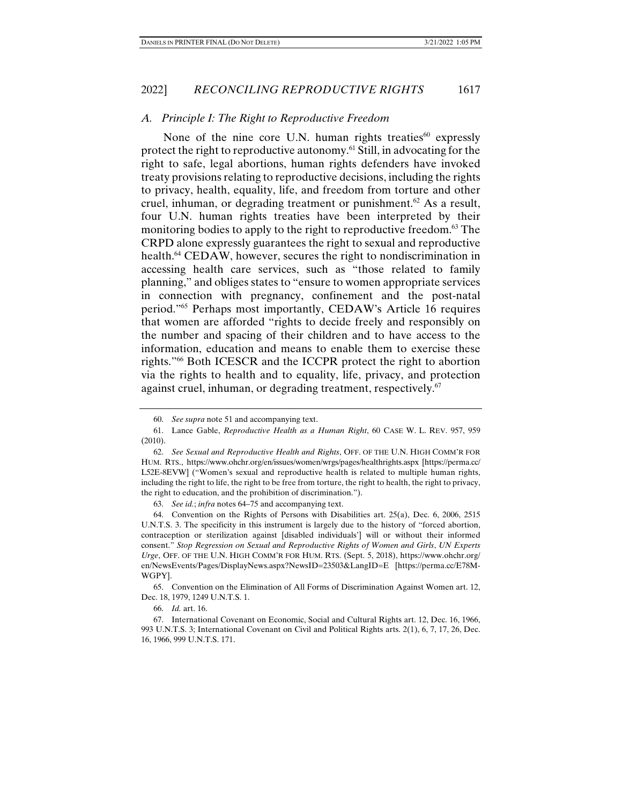# *A. Principle I: The Right to Reproductive Freedom*

None of the nine core U.N. human rights treaties $^{60}$  expressly protect the right to reproductive autonomy.61 Still, in advocating for the right to safe, legal abortions, human rights defenders have invoked treaty provisions relating to reproductive decisions, including the rights to privacy, health, equality, life, and freedom from torture and other cruel, inhuman, or degrading treatment or punishment.<sup>62</sup> As a result, four U.N. human rights treaties have been interpreted by their monitoring bodies to apply to the right to reproductive freedom.<sup>63</sup> The CRPD alone expressly guarantees the right to sexual and reproductive health.<sup>64</sup> CEDAW, however, secures the right to nondiscrimination in accessing health care services, such as "those related to family planning," and obliges states to "ensure to women appropriate services in connection with pregnancy, confinement and the post-natal period."65 Perhaps most importantly, CEDAW's Article 16 requires that women are afforded "rights to decide freely and responsibly on the number and spacing of their children and to have access to the information, education and means to enable them to exercise these rights."66 Both ICESCR and the ICCPR protect the right to abortion via the rights to health and to equality, life, privacy, and protection against cruel, inhuman, or degrading treatment, respectively.<sup>67</sup>

63. *See id.*; *infra* notes 64–75 and accompanying text.

 <sup>60.</sup> *See supra* note 51 and accompanying text.

 <sup>61.</sup> Lance Gable, *Reproductive Health as a Human Right*, 60 CASE W. L. REV. 957, 959 (2010).

 <sup>62.</sup> *See Sexual and Reproductive Health and Rights*, OFF. OF THE U.N. HIGH COMM'R FOR HUM. RTS., https://www.ohchr.org/en/issues/women/wrgs/pages/healthrights.aspx [https://perma.cc/ L52E-8EVW] ("Women's sexual and reproductive health is related to multiple human rights, including the right to life, the right to be free from torture, the right to health, the right to privacy, the right to education, and the prohibition of discrimination.").

 <sup>64.</sup> Convention on the Rights of Persons with Disabilities art. 25(a), Dec. 6, 2006, 2515 U.N.T.S. 3. The specificity in this instrument is largely due to the history of "forced abortion, contraception or sterilization against [disabled individuals'] will or without their informed consent." *Stop Regression on Sexual and Reproductive Rights of Women and Girls*, *UN Experts Urge*, OFF. OF THE U.N. HIGH COMM'R FOR HUM. RTS. (Sept. 5, 2018), https://www.ohchr.org/ en/NewsEvents/Pages/DisplayNews.aspx?NewsID=23503&LangID=E [https://perma.cc/E78M-WGPY].

 <sup>65.</sup> Convention on the Elimination of All Forms of Discrimination Against Women art. 12, Dec. 18, 1979, 1249 U.N.T.S. 1.

 <sup>66.</sup> *Id.* art. 16.

<sup>67.</sup> International Covenant on Economic, Social and Cultural Rights art. 12, Dec. 16, 1966, 993 U.N.T.S. 3; International Covenant on Civil and Political Rights arts. 2(1), 6, 7, 17, 26, Dec. 16, 1966, 999 U.N.T.S. 171.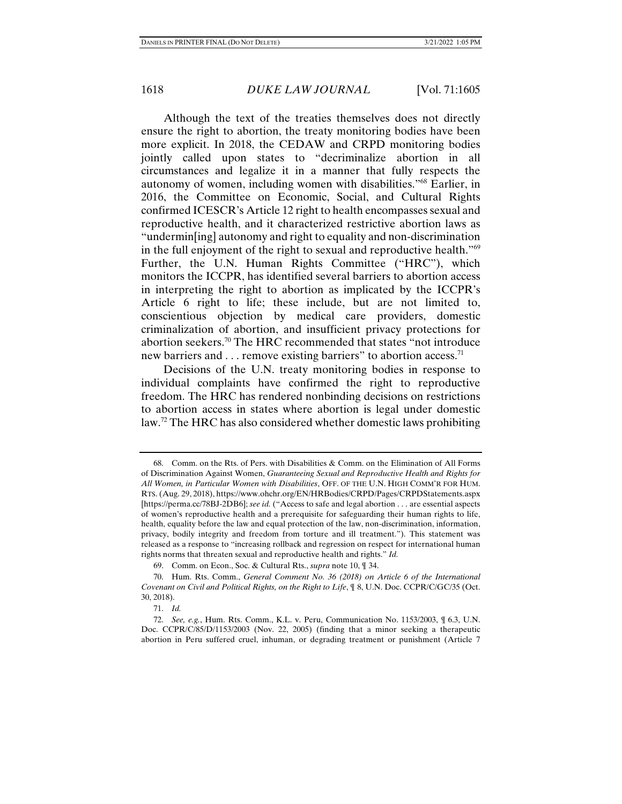Although the text of the treaties themselves does not directly ensure the right to abortion, the treaty monitoring bodies have been more explicit. In 2018, the CEDAW and CRPD monitoring bodies jointly called upon states to "decriminalize abortion in all circumstances and legalize it in a manner that fully respects the autonomy of women, including women with disabilities."68 Earlier, in 2016, the Committee on Economic, Social, and Cultural Rights confirmed ICESCR's Article 12 right to health encompasses sexual and reproductive health, and it characterized restrictive abortion laws as "undermin[ing] autonomy and right to equality and non-discrimination in the full enjoyment of the right to sexual and reproductive health."69 Further, the U.N. Human Rights Committee ("HRC"), which monitors the ICCPR, has identified several barriers to abortion access in interpreting the right to abortion as implicated by the ICCPR's Article 6 right to life; these include, but are not limited to, conscientious objection by medical care providers, domestic criminalization of abortion, and insufficient privacy protections for abortion seekers.70 The HRC recommended that states "not introduce new barriers and . . . remove existing barriers" to abortion access.<sup>71</sup>

Decisions of the U.N. treaty monitoring bodies in response to individual complaints have confirmed the right to reproductive freedom. The HRC has rendered nonbinding decisions on restrictions to abortion access in states where abortion is legal under domestic law.<sup>72</sup> The HRC has also considered whether domestic laws prohibiting

 <sup>68.</sup> Comm. on the Rts. of Pers. with Disabilities & Comm. on the Elimination of All Forms of Discrimination Against Women, *Guaranteeing Sexual and Reproductive Health and Rights for All Women, in Particular Women with Disabilities*, OFF. OF THE U.N. HIGH COMM'R FOR HUM. RTS. (Aug. 29, 2018), https://www.ohchr.org/EN/HRBodies/CRPD/Pages/CRPDStatements.aspx [https://perma.cc/78BJ-2DB6]; *see id.* ("Access to safe and legal abortion . . . are essential aspects of women's reproductive health and a prerequisite for safeguarding their human rights to life, health, equality before the law and equal protection of the law, non-discrimination, information, privacy, bodily integrity and freedom from torture and ill treatment."). This statement was released as a response to "increasing rollback and regression on respect for international human rights norms that threaten sexual and reproductive health and rights." *Id.*

 <sup>69.</sup> Comm. on Econ., Soc. & Cultural Rts., *supra* note 10, ¶ 34.

 <sup>70.</sup> Hum. Rts. Comm., *General Comment No. 36 (2018) on Article 6 of the International Covenant on Civil and Political Rights, on the Right to Life*, ¶ 8, U.N. Doc. CCPR/C/GC/35 (Oct. 30, 2018).

 <sup>71.</sup> *Id.*

 <sup>72.</sup> *See, e.g.*, Hum. Rts. Comm., K.L. v. Peru, Communication No. 1153/2003, ¶ 6.3, U.N. Doc. CCPR/C/85/D/1153/2003 (Nov. 22, 2005) (finding that a minor seeking a therapeutic abortion in Peru suffered cruel, inhuman, or degrading treatment or punishment (Article 7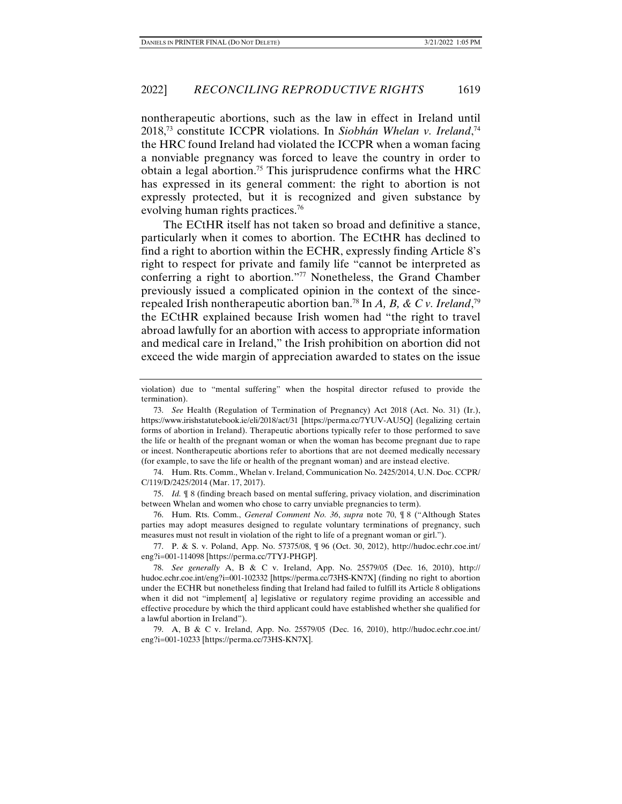nontherapeutic abortions, such as the law in effect in Ireland until 2018,73 constitute ICCPR violations. In *Siobhán Whelan v. Ireland*, 74 the HRC found Ireland had violated the ICCPR when a woman facing a nonviable pregnancy was forced to leave the country in order to obtain a legal abortion.<sup>75</sup> This jurisprudence confirms what the  $HRC$ has expressed in its general comment: the right to abortion is not expressly protected, but it is recognized and given substance by evolving human rights practices.<sup>76</sup>

The ECtHR itself has not taken so broad and definitive a stance, particularly when it comes to abortion. The ECtHR has declined to find a right to abortion within the ECHR, expressly finding Article 8's right to respect for private and family life "cannot be interpreted as conferring a right to abortion."77 Nonetheless, the Grand Chamber previously issued a complicated opinion in the context of the sincerepealed Irish nontherapeutic abortion ban.78 In *A, B, & C v. Ireland*, 79 the ECtHR explained because Irish women had "the right to travel abroad lawfully for an abortion with access to appropriate information and medical care in Ireland," the Irish prohibition on abortion did not exceed the wide margin of appreciation awarded to states on the issue

 74. Hum. Rts. Comm., Whelan v. Ireland, Communication No. 2425/2014, U.N. Doc. CCPR/ C/119/D/2425/2014 (Mar. 17, 2017).

 75. *Id.* ¶ 8 (finding breach based on mental suffering, privacy violation, and discrimination between Whelan and women who chose to carry unviable pregnancies to term).

 76. Hum. Rts. Comm., *General Comment No. 36*, *supra* note 70, ¶ 8 ("Although States parties may adopt measures designed to regulate voluntary terminations of pregnancy, such measures must not result in violation of the right to life of a pregnant woman or girl.").

 77. P. & S. v. Poland, App. No. 57375/08, ¶ 96 (Oct. 30, 2012), http://hudoc.echr.coe.int/ eng?i=001-114098 [https://perma.cc/7TYJ-PHGP].

 78. *See generally* A, B & C v. Ireland, App. No. 25579/05 (Dec. 16, 2010), http:// hudoc.echr.coe.int/eng?i=001-102332 [https://perma.cc/73HS-KN7X] (finding no right to abortion under the ECHR but nonetheless finding that Ireland had failed to fulfill its Article 8 obligations when it did not "implement[ a] legislative or regulatory regime providing an accessible and effective procedure by which the third applicant could have established whether she qualified for a lawful abortion in Ireland").

79. A, B & C v. Ireland, App. No. 25579/05 (Dec. 16, 2010), http://hudoc.echr.coe.int/ eng?i=001-10233 [https://perma.cc/73HS-KN7X].

violation) due to "mental suffering" when the hospital director refused to provide the termination).

 <sup>73.</sup> *See* Health (Regulation of Termination of Pregnancy) Act 2018 (Act. No. 31) (Ir.), https://www.irishstatutebook.ie/eli/2018/act/31 [https://perma.cc/7YUV-AU5Q] (legalizing certain forms of abortion in Ireland). Therapeutic abortions typically refer to those performed to save the life or health of the pregnant woman or when the woman has become pregnant due to rape or incest. Nontherapeutic abortions refer to abortions that are not deemed medically necessary (for example, to save the life or health of the pregnant woman) and are instead elective.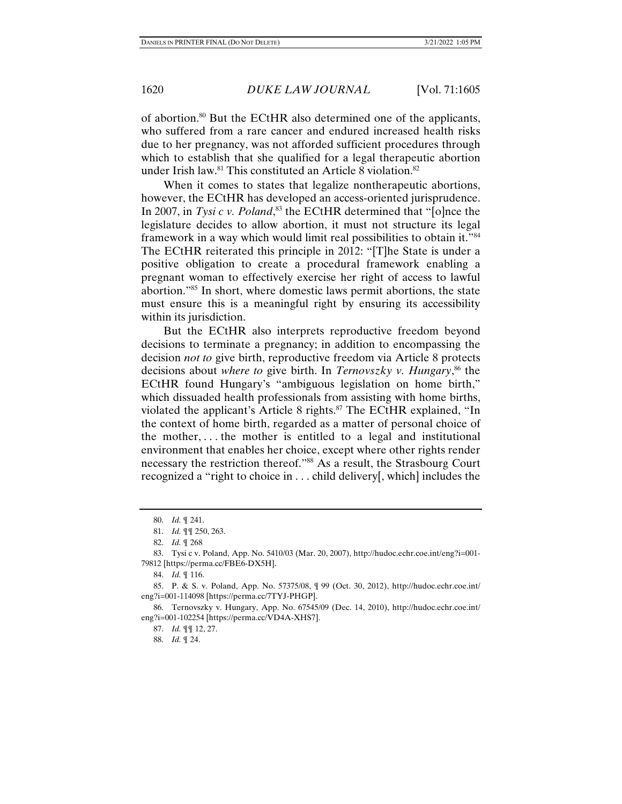of abortion.80 But the ECtHR also determined one of the applicants, who suffered from a rare cancer and endured increased health risks due to her pregnancy, was not afforded sufficient procedures through which to establish that she qualified for a legal therapeutic abortion under Irish law.<sup>81</sup> This constituted an Article 8 violation.<sup>82</sup>

When it comes to states that legalize nontherapeutic abortions, however, the ECtHR has developed an access-oriented jurisprudence. In 2007, in *Tysi c v. Poland*, 83 the ECtHR determined that "[o]nce the legislature decides to allow abortion, it must not structure its legal framework in a way which would limit real possibilities to obtain it."84 The ECtHR reiterated this principle in 2012: "[T]he State is under a positive obligation to create a procedural framework enabling a pregnant woman to effectively exercise her right of access to lawful abortion."85 In short, where domestic laws permit abortions, the state must ensure this is a meaningful right by ensuring its accessibility within its jurisdiction.

But the ECtHR also interprets reproductive freedom beyond decisions to terminate a pregnancy; in addition to encompassing the decision *not to* give birth, reproductive freedom via Article 8 protects decisions about *where to* give birth. In *Ternovszky v. Hungary*, 86 the ECtHR found Hungary's "ambiguous legislation on home birth," which dissuaded health professionals from assisting with home births, violated the applicant's Article 8 rights.<sup>87</sup> The ECtHR explained, "In the context of home birth, regarded as a matter of personal choice of the mother, . . . the mother is entitled to a legal and institutional environment that enables her choice, except where other rights render necessary the restriction thereof."88 As a result, the Strasbourg Court recognized a "right to choice in . . . child delivery[, which] includes the

84. *Id.* ¶ 116.

 85. P. & S. v. Poland, App. No. 57375/08, ¶ 99 (Oct. 30, 2012), http://hudoc.echr.coe.int/ eng?i=001-114098 [https://perma.cc/7TYJ-PHGP].

 86. Ternovszky v. Hungary, App. No. 67545/09 (Dec. 14, 2010), http://hudoc.echr.coe.int/ eng?i=001-102254 [https://perma.cc/VD4A-XHS7].

87. *Id.* ¶¶ 12, 27.

88. *Id.* ¶ 24.

 <sup>80.</sup> *Id.* ¶ 241.

 <sup>81.</sup> *Id.* ¶¶ 250, 263.

 <sup>82.</sup> *Id.* ¶ 268

 <sup>83.</sup> Tysi c v. Poland, App. No. 5410/03 (Mar. 20, 2007), http://hudoc.echr.coe.int/eng?i=001- 79812 [https://perma.cc/FBE6-DX5H].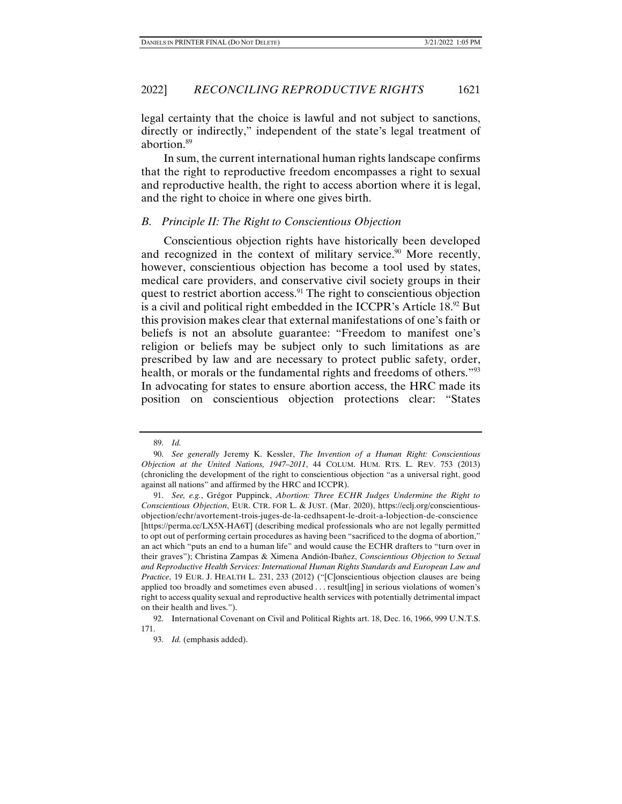legal certainty that the choice is lawful and not subject to sanctions, directly or indirectly," independent of the state's legal treatment of abortion.89

In sum, the current international human rights landscape confirms that the right to reproductive freedom encompasses a right to sexual and reproductive health, the right to access abortion where it is legal, and the right to choice in where one gives birth.

### *B. Principle II: The Right to Conscientious Objection*

Conscientious objection rights have historically been developed and recognized in the context of military service.<sup>90</sup> More recently, however, conscientious objection has become a tool used by states, medical care providers, and conservative civil society groups in their quest to restrict abortion access.<sup>91</sup> The right to conscientious objection is a civil and political right embedded in the ICCPR's Article 18.92 But this provision makes clear that external manifestations of one's faith or beliefs is not an absolute guarantee: "Freedom to manifest one's religion or beliefs may be subject only to such limitations as are prescribed by law and are necessary to protect public safety, order, health, or morals or the fundamental rights and freedoms of others."<sup>93</sup> In advocating for states to ensure abortion access, the HRC made its position on conscientious objection protections clear: "States

 <sup>89.</sup> *Id.*

 <sup>90.</sup> *See generally* Jeremy K. Kessler, *The Invention of a Human Right: Conscientious Objection at the United Nations, 1947–2011*, 44 COLUM. HUM. RTS. L. REV. 753 (2013) (chronicling the development of the right to conscientious objection "as a universal right, good against all nations" and affirmed by the HRC and ICCPR).

 <sup>91.</sup> *See, e.g.*, Grégor Puppinck, *Abortion: Three ECHR Judges Undermine the Right to Conscientious Objection*, EUR. CTR. FOR L. & JUST. (Mar. 2020), https://eclj.org/conscientiousobjection/echr/avortement-trois-juges-de-la-cedhsapent-le-droit-a-lobjection-de-conscience [https://perma.cc/LX5X-HA6T] (describing medical professionals who are not legally permitted to opt out of performing certain procedures as having been "sacrificed to the dogma of abortion," an act which "puts an end to a human life" and would cause the ECHR drafters to "turn over in their graves"); Christina Zampas & Ximena Andión-Ibañez, *Conscientious Objection to Sexual and Reproductive Health Services: International Human Rights Standards and European Law and Practice*, 19 EUR. J. HEALTH L. 231, 233 (2012) ("[C]onscientious objection clauses are being applied too broadly and sometimes even abused . . . result[ing] in serious violations of women's right to access quality sexual and reproductive health services with potentially detrimental impact on their health and lives.").

 <sup>92.</sup> International Covenant on Civil and Political Rights art. 18, Dec. 16, 1966, 999 U.N.T.S. 171.

 <sup>93.</sup> *Id.* (emphasis added).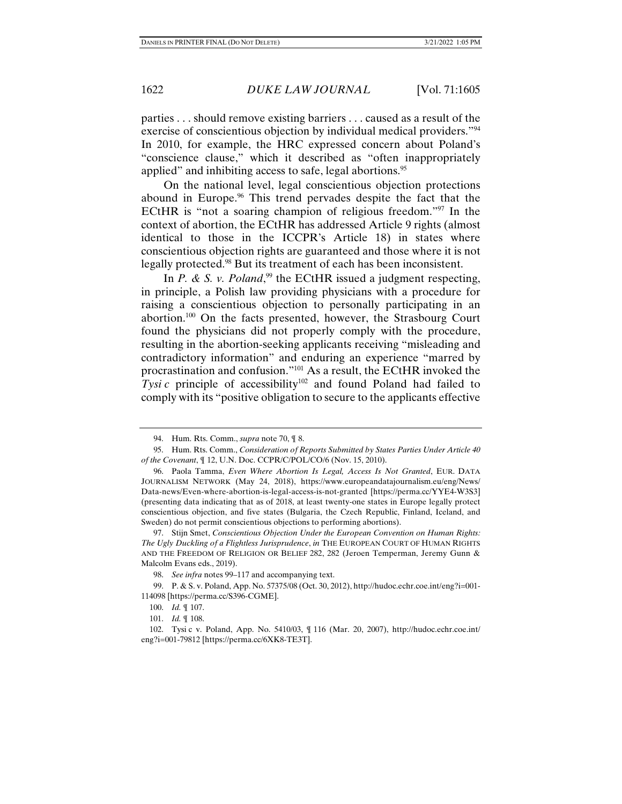parties . . . should remove existing barriers . . . caused as a result of the exercise of conscientious objection by individual medical providers."<sup>94</sup> In 2010, for example, the HRC expressed concern about Poland's "conscience clause," which it described as "often inappropriately applied" and inhibiting access to safe, legal abortions.<sup>95</sup>

On the national level, legal conscientious objection protections abound in Europe.<sup>96</sup> This trend pervades despite the fact that the ECtHR is "not a soaring champion of religious freedom."97 In the context of abortion, the ECtHR has addressed Article 9 rights (almost identical to those in the ICCPR's Article 18) in states where conscientious objection rights are guaranteed and those where it is not legally protected.<sup>98</sup> But its treatment of each has been inconsistent.

In *P. & S. v. Poland*,<sup>99</sup> the ECtHR issued a judgment respecting, in principle, a Polish law providing physicians with a procedure for raising a conscientious objection to personally participating in an abortion.100 On the facts presented, however, the Strasbourg Court found the physicians did not properly comply with the procedure, resulting in the abortion-seeking applicants receiving "misleading and contradictory information" and enduring an experience "marred by procrastination and confusion."101 As a result, the ECtHR invoked the *Tysi c* principle of accessibility<sup>102</sup> and found Poland had failed to comply with its "positive obligation to secure to the applicants effective

 <sup>94.</sup> Hum. Rts. Comm., *supra* note 70, ¶ 8.

 <sup>95.</sup> Hum. Rts. Comm., *Consideration of Reports Submitted by States Parties Under Article 40 of the Covenant*, ¶ 12, U.N. Doc. CCPR/C/POL/CO/6 (Nov. 15, 2010).

 <sup>96.</sup> Paola Tamma, *Even Where Abortion Is Legal, Access Is Not Granted*, EUR. DATA JOURNALISM NETWORK (May 24, 2018), https://www.europeandatajournalism.eu/eng/News/ Data-news/Even-where-abortion-is-legal-access-is-not-granted [https://perma.cc/YYE4-W3S3] (presenting data indicating that as of 2018, at least twenty-one states in Europe legally protect conscientious objection, and five states (Bulgaria, the Czech Republic, Finland, Iceland, and Sweden) do not permit conscientious objections to performing abortions).

 <sup>97.</sup> Stijn Smet, *Conscientious Objection Under the European Convention on Human Rights: The Ugly Duckling of a Flightless Jurisprudence*, *in* THE EUROPEAN COURT OF HUMAN RIGHTS AND THE FREEDOM OF RELIGION OR BELIEF 282, 282 (Jeroen Temperman, Jeremy Gunn & Malcolm Evans eds., 2019).

 <sup>98.</sup> *See infra* notes 99–117 and accompanying text.

 <sup>99.</sup> P. & S. v. Poland, App. No. 57375/08 (Oct. 30, 2012), http://hudoc.echr.coe.int/eng?i=001- 114098 [https://perma.cc/S396-CGME].

 <sup>100.</sup> *Id.* ¶ 107.

 <sup>101.</sup> *Id.* ¶ 108.

 <sup>102.</sup> Tysi c v. Poland, App. No. 5410/03, ¶ 116 (Mar. 20, 2007), http://hudoc.echr.coe.int/ eng?i=001-79812 [https://perma.cc/6XK8-TE3T].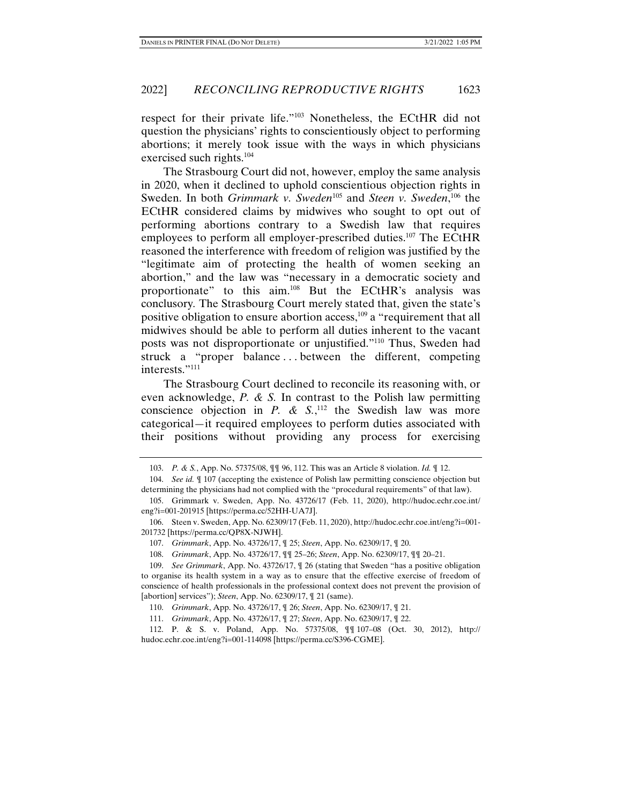respect for their private life."103 Nonetheless, the ECtHR did not question the physicians' rights to conscientiously object to performing abortions; it merely took issue with the ways in which physicians exercised such rights.<sup>104</sup>

The Strasbourg Court did not, however, employ the same analysis in 2020, when it declined to uphold conscientious objection rights in Sweden. In both *Grimmark v. Sweden*<sup>105</sup> and *Steen v. Sweden*,<sup>106</sup> the ECtHR considered claims by midwives who sought to opt out of performing abortions contrary to a Swedish law that requires employees to perform all employer-prescribed duties.<sup>107</sup> The ECtHR reasoned the interference with freedom of religion was justified by the "legitimate aim of protecting the health of women seeking an abortion," and the law was "necessary in a democratic society and proportionate" to this aim.108 But the ECtHR's analysis was conclusory*.* The Strasbourg Court merely stated that, given the state's positive obligation to ensure abortion access,  $109$  a "requirement that all midwives should be able to perform all duties inherent to the vacant posts was not disproportionate or unjustified."110 Thus, Sweden had struck a "proper balance...between the different, competing interests."111

The Strasbourg Court declined to reconcile its reasoning with, or even acknowledge, *P. & S.* In contrast to the Polish law permitting conscience objection in *P. & S.*,<sup>112</sup> the Swedish law was more categorical—it required employees to perform duties associated with their positions without providing any process for exercising

 <sup>103.</sup> *P. & S.*, App. No. 57375/08, ¶¶ 96, 112. This was an Article 8 violation. *Id.* ¶ 12.

 <sup>104.</sup> *See id.* ¶ 107 (accepting the existence of Polish law permitting conscience objection but determining the physicians had not complied with the "procedural requirements" of that law).

 <sup>105.</sup> Grimmark v. Sweden, App. No. 43726/17 (Feb. 11, 2020), http://hudoc.echr.coe.int/ eng?i=001-201915 [https://perma.cc/52HH-UA7J].

 <sup>106.</sup> Steen v. Sweden, App. No. 62309/17 (Feb. 11, 2020), http://hudoc.echr.coe.int/eng?i=001- 201732 [https://perma.cc/QP8X-NJWH].

 <sup>107.</sup> *Grimmark*, App. No. 43726/17, ¶ 25; *Steen*, App. No. 62309/17, ¶ 20.

 <sup>108.</sup> *Grimmark*, App. No. 43726/17, ¶¶ 25–26; *Steen*, App. No. 62309/17, ¶¶ 20–21.

 <sup>109.</sup> *See Grimmark*, App. No. 43726/17, ¶ 26 (stating that Sweden "has a positive obligation to organise its health system in a way as to ensure that the effective exercise of freedom of conscience of health professionals in the professional context does not prevent the provision of [abortion] services"); *Steen*, App. No. 62309/17, ¶ 21 (same).

 <sup>110.</sup> *Grimmark*, App. No. 43726/17, ¶ 26; *Steen*, App. No. 62309/17, ¶ 21.

 <sup>111.</sup> *Grimmark*, App. No. 43726/17, ¶ 27; *Steen*, App. No. 62309/17, ¶ 22.

 <sup>112.</sup> P. & S. v. Poland, App. No. 57375/08, ¶¶ 107–08 (Oct. 30, 2012), http:// hudoc.echr.coe.int/eng?i=001-114098 [https://perma.cc/S396-CGME].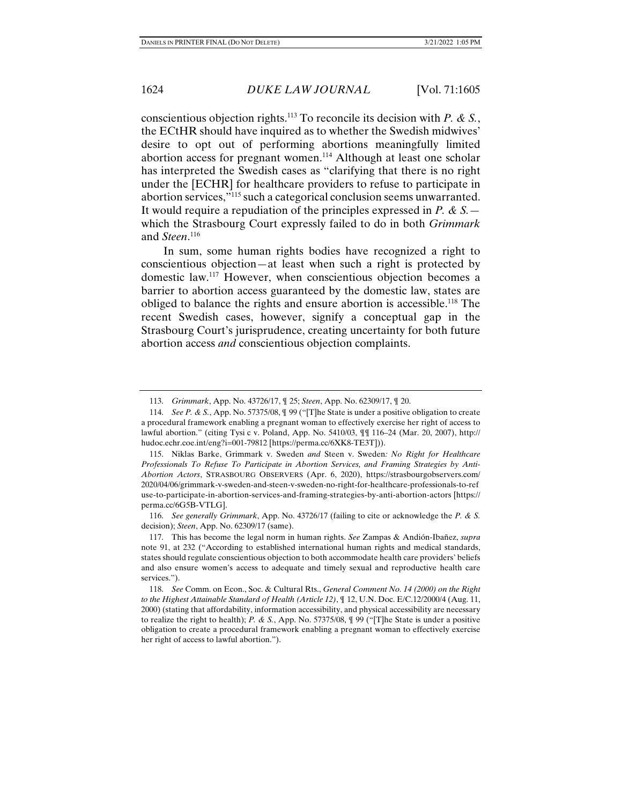conscientious objection rights.113 To reconcile its decision with *P. & S.*, the ECtHR should have inquired as to whether the Swedish midwives' desire to opt out of performing abortions meaningfully limited abortion access for pregnant women.<sup>114</sup> Although at least one scholar has interpreted the Swedish cases as "clarifying that there is no right under the [ECHR] for healthcare providers to refuse to participate in abortion services,"115 such a categorical conclusion seems unwarranted. It would require a repudiation of the principles expressed in *P. & S.* which the Strasbourg Court expressly failed to do in both *Grimmark*  and *Steen*. 116

In sum, some human rights bodies have recognized a right to conscientious objection—at least when such a right is protected by domestic law.117 However, when conscientious objection becomes a barrier to abortion access guaranteed by the domestic law, states are obliged to balance the rights and ensure abortion is accessible.118 The recent Swedish cases, however, signify a conceptual gap in the Strasbourg Court's jurisprudence, creating uncertainty for both future abortion access *and* conscientious objection complaints.

 116. *See generally Grimmark*, App. No. 43726/17 (failing to cite or acknowledge the *P. & S.* decision); *Steen*, App. No. 62309/17 (same).

 <sup>113.</sup> *Grimmark*, App. No. 43726/17, ¶ 25; *Steen*, App. No. 62309/17, ¶ 20.

 <sup>114.</sup> *See P. & S.*, App. No. 57375/08, ¶ 99 ("[T]he State is under a positive obligation to create a procedural framework enabling a pregnant woman to effectively exercise her right of access to lawful abortion." (citing Tysi c v. Poland, App. No. 5410/03, ¶¶ 116–24 (Mar. 20, 2007), http:// hudoc.echr.coe.int/eng?i=001-79812 [https://perma.cc/6XK8-TE3T])).

 <sup>115.</sup> Niklas Barke, Grimmark v. Sweden *and* Steen v. Sweden*: No Right for Healthcare Professionals To Refuse To Participate in Abortion Services, and Framing Strategies by Anti-Abortion Actors*, STRASBOURG OBSERVERS (Apr. 6, 2020), https://strasbourgobservers.com/ 2020/04/06/grimmark-v-sweden-and-steen-v-sweden-no-right-for-healthcare-professionals-to-ref use-to-participate-in-abortion-services-and-framing-strategies-by-anti-abortion-actors [https:// perma.cc/6G5B-VTLG].

 <sup>117.</sup> This has become the legal norm in human rights. *See* Zampas & Andión-Ibañez, *supra*  note 91, at 232 ("According to established international human rights and medical standards, states should regulate conscientious objection to both accommodate health care providers' beliefs and also ensure women's access to adequate and timely sexual and reproductive health care services.").

 <sup>118.</sup> *See* Comm. on Econ., Soc. & Cultural Rts., *General Comment No. 14 (2000) on the Right to the Highest Attainable Standard of Health (Article 12)*, ¶ 12, U.N. Doc. E/C.12/2000/4 (Aug. 11, 2000) (stating that affordability, information accessibility, and physical accessibility are necessary to realize the right to health); *P. & S.*, App. No. 57375/08, ¶ 99 ("[T]he State is under a positive obligation to create a procedural framework enabling a pregnant woman to effectively exercise her right of access to lawful abortion.").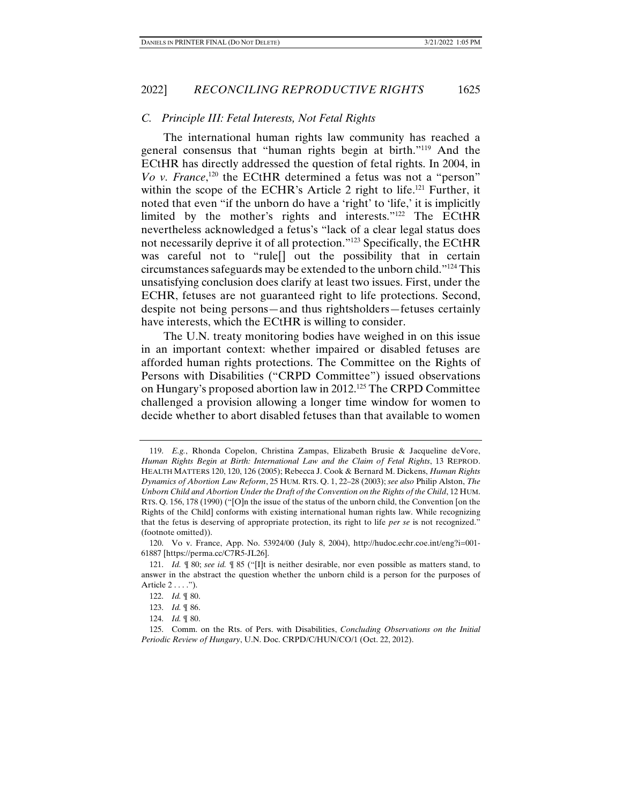### *C. Principle III: Fetal Interests, Not Fetal Rights*

The international human rights law community has reached a general consensus that "human rights begin at birth."119 And the ECtHR has directly addressed the question of fetal rights. In 2004, in *Vo v. France*,<sup>120</sup> the ECtHR determined a fetus was not a "person" within the scope of the ECHR's Article 2 right to life.<sup>121</sup> Further, it noted that even "if the unborn do have a 'right' to 'life,' it is implicitly limited by the mother's rights and interests."122 The ECtHR nevertheless acknowledged a fetus's "lack of a clear legal status does not necessarily deprive it of all protection."123 Specifically, the ECtHR was careful not to "rule[] out the possibility that in certain circumstances safeguards may be extended to the unborn child."124 This unsatisfying conclusion does clarify at least two issues. First, under the ECHR, fetuses are not guaranteed right to life protections. Second, despite not being persons—and thus rightsholders—fetuses certainly have interests, which the ECtHR is willing to consider.

The U.N. treaty monitoring bodies have weighed in on this issue in an important context: whether impaired or disabled fetuses are afforded human rights protections. The Committee on the Rights of Persons with Disabilities ("CRPD Committee") issued observations on Hungary's proposed abortion law in 2012.125 The CRPD Committee challenged a provision allowing a longer time window for women to decide whether to abort disabled fetuses than that available to women

 <sup>119.</sup> *E.g.*, Rhonda Copelon, Christina Zampas, Elizabeth Brusie & Jacqueline deVore, *Human Rights Begin at Birth: International Law and the Claim of Fetal Rights*, 13 REPROD. HEALTH MATTERS 120, 120, 126 (2005); Rebecca J. Cook & Bernard M. Dickens, *Human Rights Dynamics of Abortion Law Reform*, 25 HUM. RTS. Q. 1, 22–28 (2003); *see also* Philip Alston, *The Unborn Child and Abortion Under the Draft of the Convention on the Rights of the Child*, 12 HUM. RTS. Q. 156, 178 (1990) ("[O]n the issue of the status of the unborn child, the Convention [on the Rights of the Child] conforms with existing international human rights law. While recognizing that the fetus is deserving of appropriate protection, its right to life *per se* is not recognized." (footnote omitted)).

 <sup>120.</sup> Vo v. France, App. No. 53924/00 (July 8, 2004), http://hudoc.echr.coe.int/eng?i=001- 61887 [https://perma.cc/C7R5-JL26].

 <sup>121.</sup> *Id.* ¶ 80; *see id.* ¶ 85 ("[I]t is neither desirable, nor even possible as matters stand, to answer in the abstract the question whether the unborn child is a person for the purposes of Article 2 . . . .").

 <sup>122.</sup> *Id.* ¶ 80.

 <sup>123.</sup> *Id.* ¶ 86.

 <sup>124.</sup> *Id.* ¶ 80.

 <sup>125.</sup> Comm. on the Rts. of Pers. with Disabilities, *Concluding Observations on the Initial Periodic Review of Hungary*, U.N. Doc. CRPD/C/HUN/CO/1 (Oct. 22, 2012).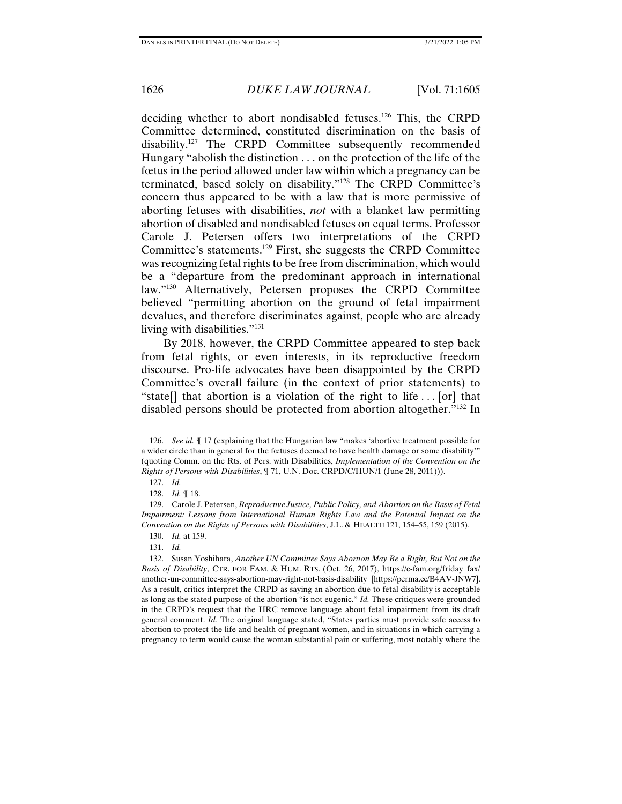deciding whether to abort nondisabled fetuses.<sup>126</sup> This, the CRPD Committee determined, constituted discrimination on the basis of disability.127 The CRPD Committee subsequently recommended Hungary "abolish the distinction . . . on the protection of the life of the fœtus in the period allowed under law within which a pregnancy can be terminated, based solely on disability."128 The CRPD Committee's concern thus appeared to be with a law that is more permissive of aborting fetuses with disabilities, *not* with a blanket law permitting abortion of disabled and nondisabled fetuses on equal terms. Professor Carole J. Petersen offers two interpretations of the CRPD Committee's statements.129 First, she suggests the CRPD Committee was recognizing fetal rights to be free from discrimination, which would be a "departure from the predominant approach in international law."130 Alternatively, Petersen proposes the CRPD Committee believed "permitting abortion on the ground of fetal impairment devalues, and therefore discriminates against, people who are already living with disabilities."<sup>131</sup>

By 2018, however, the CRPD Committee appeared to step back from fetal rights, or even interests, in its reproductive freedom discourse. Pro-life advocates have been disappointed by the CRPD Committee's overall failure (in the context of prior statements) to "state[] that abortion is a violation of the right to life . . . [or] that disabled persons should be protected from abortion altogether."132 In

 <sup>126.</sup> *See id.* ¶ 17 (explaining that the Hungarian law "makes 'abortive treatment possible for a wider circle than in general for the fœtuses deemed to have health damage or some disability'" (quoting Comm. on the Rts. of Pers. with Disabilities, *Implementation of the Convention on the Rights of Persons with Disabilities*, ¶ 71, U.N. Doc. CRPD/C/HUN/1 (June 28, 2011))).

 <sup>127.</sup> *Id.*

 <sup>128.</sup> *Id.* ¶ 18.

 <sup>129.</sup> Carole J. Petersen, *Reproductive Justice, Public Policy, and Abortion on the Basis of Fetal Impairment: Lessons from International Human Rights Law and the Potential Impact on the Convention on the Rights of Persons with Disabilities*, J.L. & HEALTH 121, 154–55, 159 (2015).

 <sup>130.</sup> *Id.* at 159.

 <sup>131.</sup> *Id.*

 <sup>132.</sup> Susan Yoshihara, *Another UN Committee Says Abortion May Be a Right, But Not on the Basis of Disability*, CTR. FOR FAM. & HUM. RTS. (Oct. 26, 2017), https://c-fam.org/friday\_fax/ another-un-committee-says-abortion-may-right-not-basis-disability [https://perma.cc/B4AV-JNW7]. As a result, critics interpret the CRPD as saying an abortion due to fetal disability is acceptable as long as the stated purpose of the abortion "is not eugenic." *Id.* These critiques were grounded in the CRPD's request that the HRC remove language about fetal impairment from its draft general comment. *Id.* The original language stated, "States parties must provide safe access to abortion to protect the life and health of pregnant women, and in situations in which carrying a pregnancy to term would cause the woman substantial pain or suffering, most notably where the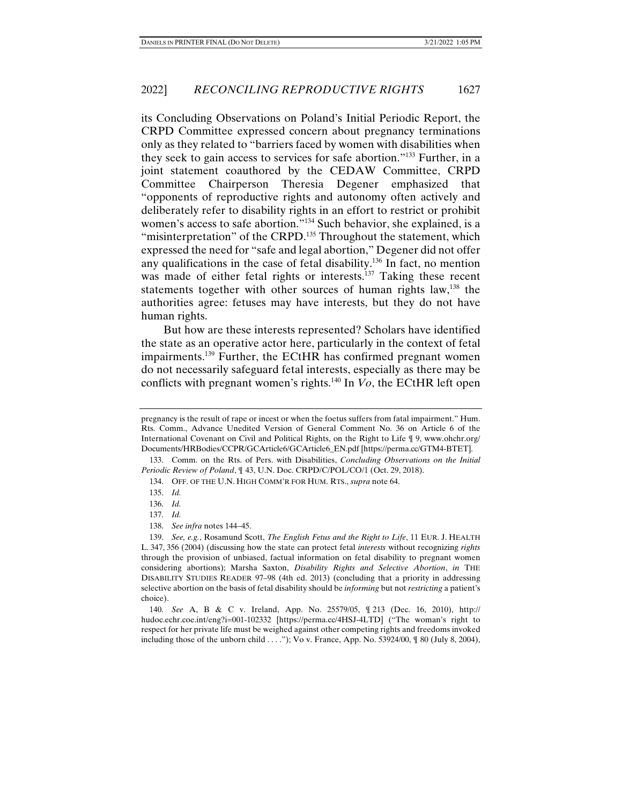its Concluding Observations on Poland's Initial Periodic Report, the CRPD Committee expressed concern about pregnancy terminations only as they related to "barriers faced by women with disabilities when they seek to gain access to services for safe abortion."133 Further, in a joint statement coauthored by the CEDAW Committee, CRPD Committee Chairperson Theresia Degener emphasized that "opponents of reproductive rights and autonomy often actively and deliberately refer to disability rights in an effort to restrict or prohibit women's access to safe abortion."134 Such behavior, she explained, is a "misinterpretation" of the CRPD.<sup>135</sup> Throughout the statement, which expressed the need for "safe and legal abortion," Degener did not offer any qualifications in the case of fetal disability.136 In fact, no mention was made of either fetal rights or interests.<sup>137</sup> Taking these recent statements together with other sources of human rights law,<sup>138</sup> the authorities agree: fetuses may have interests, but they do not have human rights.

But how are these interests represented? Scholars have identified the state as an operative actor here, particularly in the context of fetal impairments.139 Further, the ECtHR has confirmed pregnant women do not necessarily safeguard fetal interests, especially as there may be conflicts with pregnant women's rights.140 In *Vo*, the ECtHR left open

135. *Id.* 

137. *Id.* 

pregnancy is the result of rape or incest or when the foetus suffers from fatal impairment." Hum. Rts. Comm., Advance Unedited Version of General Comment No. 36 on Article 6 of the International Covenant on Civil and Political Rights, on the Right to Life ¶ 9, www.ohchr.org/ Documents/HRBodies/CCPR/GCArticle6/GCArticle6\_EN.pdf [https://perma.cc/GTM4-BTET].

 <sup>133.</sup> Comm. on the Rts. of Pers. with Disabilities, *Concluding Observations on the Initial Periodic Review of Poland*, ¶ 43, U.N. Doc. CRPD/C/POL/CO/1 (Oct. 29, 2018).

 <sup>134.</sup> OFF. OF THE U.N. HIGH COMM'R FOR HUM. RTS., *supra* note 64.

 <sup>136.</sup> *Id.* 

 <sup>138.</sup> *See infra* notes 144–45.

 <sup>139.</sup> *See, e.g.*, Rosamund Scott, *The English Fetus and the Right to Life*, 11 EUR. J. HEALTH L. 347, 356 (2004) (discussing how the state can protect fetal *interests* without recognizing *rights* through the provision of unbiased, factual information on fetal disability to pregnant women considering abortions); Marsha Saxton, *Disability Rights and Selective Abortion*, *in* THE DISABILITY STUDIES READER 97–98 (4th ed. 2013) (concluding that a priority in addressing selective abortion on the basis of fetal disability should be *informing* but not *restricting* a patient's choice).

 <sup>140.</sup> *See* A, B & C v. Ireland, App. No. 25579/05, ¶ 213 (Dec. 16, 2010), http:// hudoc.echr.coe.int/eng?i=001-102332 [https://perma.cc/4HSJ-4LTD] ("The woman's right to respect for her private life must be weighed against other competing rights and freedoms invoked including those of the unborn child  $\dots$ "); Vo v. France, App. No. 53924/00,  $\parallel$  80 (July 8, 2004),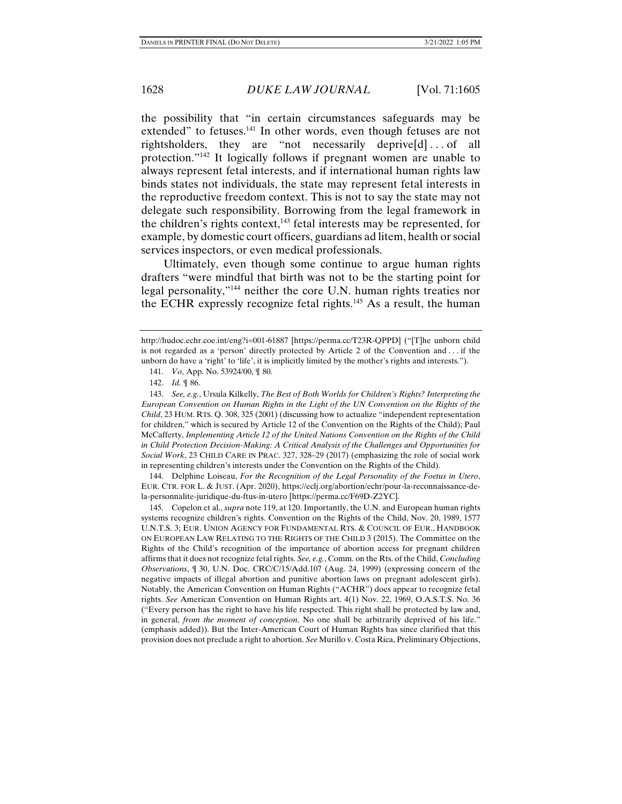the possibility that "in certain circumstances safeguards may be extended" to fetuses.<sup>141</sup> In other words, even though fetuses are not rightsholders, they are "not necessarily deprive  $[d] \dots$  of all protection."142 It logically follows if pregnant women are unable to always represent fetal interests, and if international human rights law binds states not individuals, the state may represent fetal interests in the reproductive freedom context. This is not to say the state may not delegate such responsibility. Borrowing from the legal framework in the children's rights context, $143$  fetal interests may be represented, for example, by domestic court officers, guardians ad litem, health or social services inspectors, or even medical professionals.

Ultimately, even though some continue to argue human rights drafters "were mindful that birth was not to be the starting point for legal personality,"144 neither the core U.N. human rights treaties nor the ECHR expressly recognize fetal rights.<sup>145</sup> As a result, the human

 144. Delphine Loiseau, *For the Recognition of the Legal Personality of the Foetus in Utero*, EUR. CTR. FOR L. & JUST. (Apr. 2020), https://eclj.org/abortion/echr/pour-la-reconnaissance-dela-personnalite-juridique-du-ftus-in-utero [https://perma.cc/F69D-Z2YC].

 145. Copelon et al., *supra* note 119, at 120. Importantly, the U.N. and European human rights systems recognize children's rights. Convention on the Rights of the Child, Nov. 20, 1989, 1577 U.N.T.S. 3; EUR. UNION AGENCY FOR FUNDAMENTAL RTS. & COUNCIL OF EUR., HANDBOOK ON EUROPEAN LAW RELATING TO THE RIGHTS OF THE CHILD 3 (2015). The Committee on the Rights of the Child's recognition of the importance of abortion access for pregnant children affirms that it does not recognize fetal rights. *See, e.g.*, Comm. on the Rts. of the Child, *Concluding Observations*, ¶ 30, U.N. Doc. CRC/C/15/Add.107 (Aug. 24, 1999) (expressing concern of the negative impacts of illegal abortion and punitive abortion laws on pregnant adolescent girls). Notably, the American Convention on Human Rights ("ACHR") does appear to recognize fetal rights. *See* American Convention on Human Rights art. 4(1) Nov. 22, 1969, O.A.S.T.S. No. 36 ("Every person has the right to have his life respected. This right shall be protected by law and, in general, *from the moment of conception*. No one shall be arbitrarily deprived of his life." (emphasis added)). But the Inter-American Court of Human Rights has since clarified that this provision does not preclude a right to abortion. *See* Murillo v. Costa Rica, Preliminary Objections,

http://hudoc.echr.coe.int/eng?i=001-61887 [https://perma.cc/T23R-QPPD] ("[T]he unborn child is not regarded as a 'person' directly protected by Article 2 of the Convention and . . . if the unborn do have a 'right' to 'life', it is implicitly limited by the mother's rights and interests.").

 <sup>141.</sup> *Vo*, App. No. 53924/00, ¶ 80.

 <sup>142.</sup> *Id.* ¶ 86.

 <sup>143.</sup> *See, e.g.*, Ursula Kilkelly, *The Best of Both Worlds for Children's Rights? Interpreting the European Convention on Human Rights in the Light of the UN Convention on the Rights of the Child*, 23 HUM. RTS. Q. 308, 325 (2001) (discussing how to actualize "independent representation for children," which is secured by Article 12 of the Convention on the Rights of the Child); Paul McCafferty, *Implementing Article 12 of the United Nations Convention on the Rights of the Child in Child Protection Decision-Making: A Critical Analysis of the Challenges and Opportunities for Social Work*, 23 CHILD CARE IN PRAC. 327, 328–29 (2017) (emphasizing the role of social work in representing children's interests under the Convention on the Rights of the Child).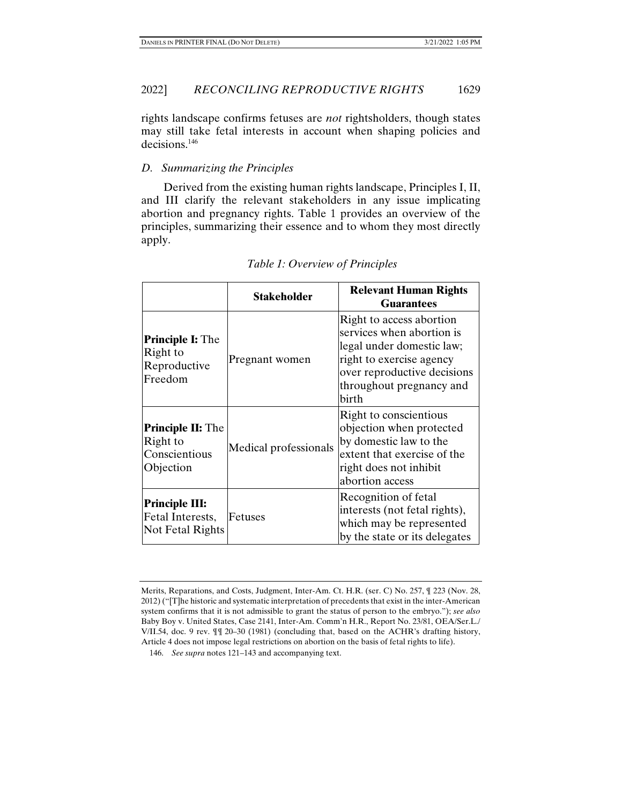rights landscape confirms fetuses are *not* rightsholders, though states may still take fetal interests in account when shaping policies and decisions.146

# *D. Summarizing the Principles*

Derived from the existing human rights landscape, Principles I, II, and III clarify the relevant stakeholders in any issue implicating abortion and pregnancy rights. Table 1 provides an overview of the principles, summarizing their essence and to whom they most directly apply.

|                                                                    | <b>Stakeholder</b>    | <b>Relevant Human Rights</b><br><b>Guarantees</b>                                                                                                                                  |
|--------------------------------------------------------------------|-----------------------|------------------------------------------------------------------------------------------------------------------------------------------------------------------------------------|
| <b>Principle I:</b> The<br>Right to<br>Reproductive<br>Freedom     | Pregnant women        | Right to access abortion<br>services when abortion is<br>legal under domestic law;<br>right to exercise agency<br>over reproductive decisions<br>throughout pregnancy and<br>birth |
| <b>Principle II: The</b><br>Right to<br>Conscientious<br>Objection | Medical professionals | Right to conscientious<br>objection when protected<br>by domestic law to the<br>extent that exercise of the<br>right does not inhibit<br>abortion access                           |
| <b>Principle III:</b><br>Fetal Interests,<br>Not Fetal Rights      | <b>Fetuses</b>        | Recognition of fetal<br>interests (not fetal rights),<br>which may be represented<br>by the state or its delegates                                                                 |

*Table 1: Overview of Principles* 

Merits, Reparations, and Costs, Judgment, Inter-Am. Ct. H.R. (ser. C) No. 257, ¶ 223 (Nov. 28, 2012) ("[T]he historic and systematic interpretation of precedents that exist in the inter-American system confirms that it is not admissible to grant the status of person to the embryo."); *see also*  Baby Boy v. United States, Case 2141, Inter-Am. Comm'n H.R., Report No. 23/81, OEA/Ser.L./ V/II.54, doc. 9 rev. ¶¶ 20–30 (1981) (concluding that, based on the ACHR's drafting history, Article 4 does not impose legal restrictions on abortion on the basis of fetal rights to life).

 <sup>146.</sup> *See supra* notes 121–143 and accompanying text.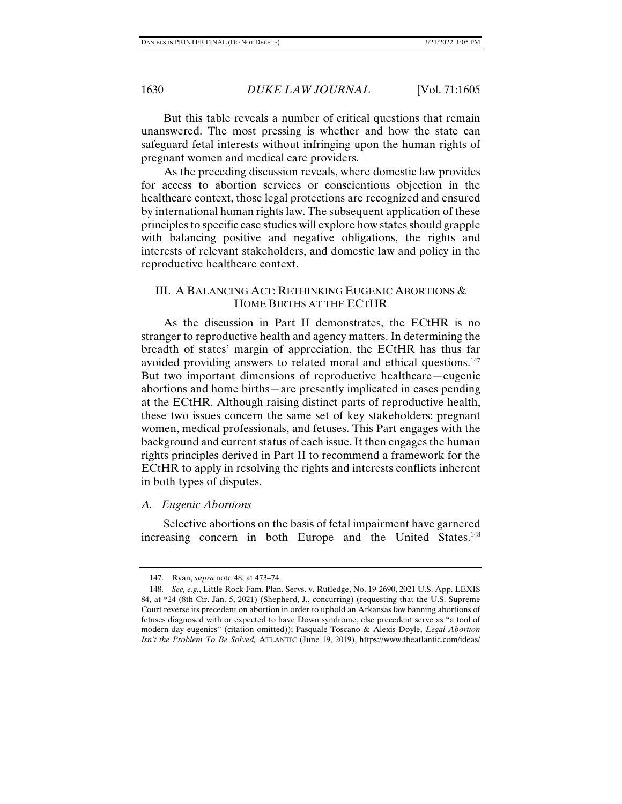But this table reveals a number of critical questions that remain unanswered. The most pressing is whether and how the state can safeguard fetal interests without infringing upon the human rights of pregnant women and medical care providers.

As the preceding discussion reveals, where domestic law provides for access to abortion services or conscientious objection in the healthcare context, those legal protections are recognized and ensured by international human rights law. The subsequent application of these principles to specific case studies will explore how states should grapple with balancing positive and negative obligations, the rights and interests of relevant stakeholders, and domestic law and policy in the reproductive healthcare context.

# III. A BALANCING ACT: RETHINKING EUGENIC ABORTIONS & HOME BIRTHS AT THE ECTHR

As the discussion in Part II demonstrates, the ECtHR is no stranger to reproductive health and agency matters. In determining the breadth of states' margin of appreciation, the ECtHR has thus far avoided providing answers to related moral and ethical questions.<sup>147</sup> But two important dimensions of reproductive healthcare—eugenic abortions and home births—are presently implicated in cases pending at the ECtHR. Although raising distinct parts of reproductive health, these two issues concern the same set of key stakeholders: pregnant women, medical professionals, and fetuses. This Part engages with the background and current status of each issue. It then engages the human rights principles derived in Part II to recommend a framework for the ECtHR to apply in resolving the rights and interests conflicts inherent in both types of disputes.

# *A. Eugenic Abortions*

Selective abortions on the basis of fetal impairment have garnered increasing concern in both Europe and the United States.<sup>148</sup>

 <sup>147.</sup> Ryan, *supra* note 48, at 473–74.

 <sup>148.</sup> *See, e.g.*, Little Rock Fam. Plan. Servs. v. Rutledge, No. 19-2690, 2021 U.S. App. LEXIS 84, at \*24 (8th Cir. Jan. 5, 2021) (Shepherd, J., concurring) (requesting that the U.S. Supreme Court reverse its precedent on abortion in order to uphold an Arkansas law banning abortions of fetuses diagnosed with or expected to have Down syndrome, else precedent serve as "a tool of modern-day eugenics" (citation omitted)); Pasquale Toscano & Alexis Doyle, *Legal Abortion Isn't the Problem To Be Solved,* ATLANTIC (June 19, 2019), https://www.theatlantic.com/ideas/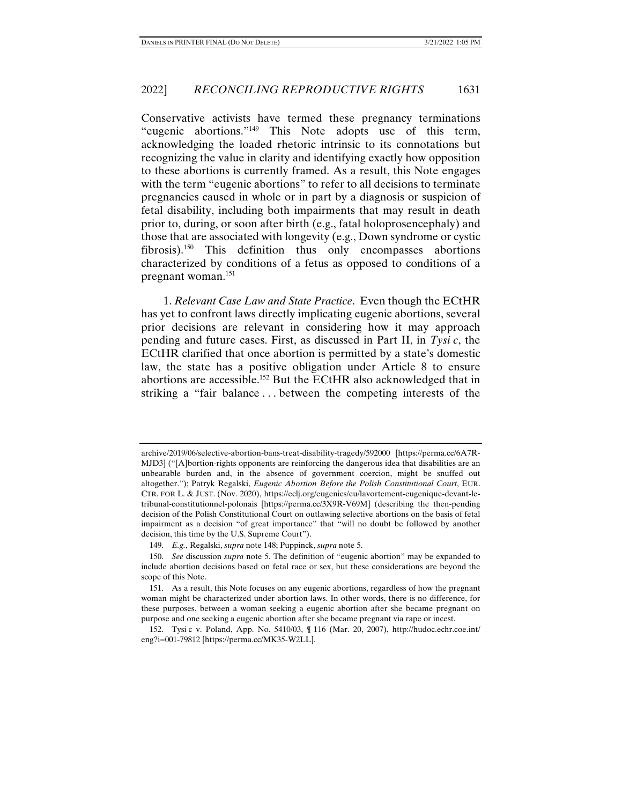Conservative activists have termed these pregnancy terminations "eugenic abortions."149 This Note adopts use of this term, acknowledging the loaded rhetoric intrinsic to its connotations but recognizing the value in clarity and identifying exactly how opposition to these abortions is currently framed. As a result, this Note engages with the term "eugenic abortions" to refer to all decisions to terminate pregnancies caused in whole or in part by a diagnosis or suspicion of fetal disability, including both impairments that may result in death prior to, during, or soon after birth (e.g., fatal holoprosencephaly) and those that are associated with longevity (e.g., Down syndrome or cystic fibrosis).150 This definition thus only encompasses abortions characterized by conditions of a fetus as opposed to conditions of a pregnant woman.151

1. *Relevant Case Law and State Practice*. Even though the ECtHR has yet to confront laws directly implicating eugenic abortions, several prior decisions are relevant in considering how it may approach pending and future cases. First, as discussed in Part II, in *Tysi c*, the ECtHR clarified that once abortion is permitted by a state's domestic law, the state has a positive obligation under Article 8 to ensure abortions are accessible.152 But the ECtHR also acknowledged that in striking a "fair balance . . . between the competing interests of the

archive/2019/06/selective-abortion-bans-treat-disability-tragedy/592000 [https://perma.cc/6A7R-MJD3] ("[A]bortion-rights opponents are reinforcing the dangerous idea that disabilities are an unbearable burden and, in the absence of government coercion, might be snuffed out altogether."); Patryk Regalski, *Eugenic Abortion Before the Polish Constitutional Court*, EUR. CTR. FOR L. & JUST. (Nov. 2020), https://eclj.org/eugenics/eu/lavortement-eugenique-devant-letribunal-constitutionnel-polonais [https://perma.cc/3X9R-V69M] (describing the then-pending decision of the Polish Constitutional Court on outlawing selective abortions on the basis of fetal impairment as a decision "of great importance" that "will no doubt be followed by another decision, this time by the U.S. Supreme Court").

 <sup>149.</sup> *E.g.*, Regalski, *supra* note 148; Puppinck, *supra* note 5.

 <sup>150.</sup> *See* discussion *supra* note 5. The definition of "eugenic abortion" may be expanded to include abortion decisions based on fetal race or sex, but these considerations are beyond the scope of this Note.

 <sup>151.</sup> As a result, this Note focuses on any eugenic abortions, regardless of how the pregnant woman might be characterized under abortion laws. In other words, there is no difference, for these purposes, between a woman seeking a eugenic abortion after she became pregnant on purpose and one seeking a eugenic abortion after she became pregnant via rape or incest.

 <sup>152.</sup> Tysi c v. Poland, App. No. 5410/03, ¶ 116 (Mar. 20, 2007), http://hudoc.echr.coe.int/ eng?i=001-79812 [https://perma.cc/MK35-W2LL].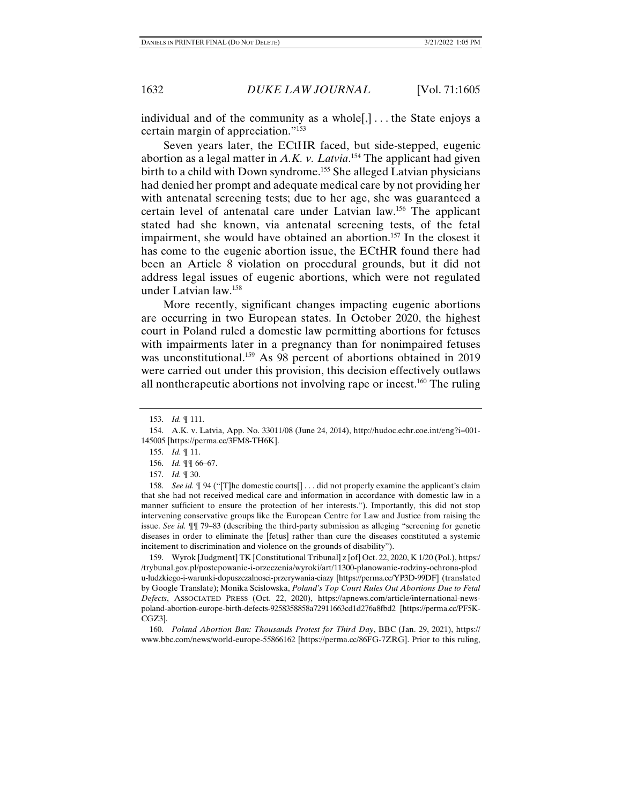individual and of the community as a whole[,] . . . the State enjoys a certain margin of appreciation."153

Seven years later, the ECtHR faced, but side-stepped, eugenic abortion as a legal matter in *A.K. v. Latvia*. 154 The applicant had given birth to a child with Down syndrome.<sup>155</sup> She alleged Latvian physicians had denied her prompt and adequate medical care by not providing her with antenatal screening tests; due to her age, she was guaranteed a certain level of antenatal care under Latvian law.156 The applicant stated had she known, via antenatal screening tests, of the fetal impairment, she would have obtained an abortion.<sup>157</sup> In the closest it has come to the eugenic abortion issue, the ECtHR found there had been an Article 8 violation on procedural grounds, but it did not address legal issues of eugenic abortions, which were not regulated under Latvian law.158

More recently, significant changes impacting eugenic abortions are occurring in two European states. In October 2020, the highest court in Poland ruled a domestic law permitting abortions for fetuses with impairments later in a pregnancy than for nonimpaired fetuses was unconstitutional.<sup>159</sup> As 98 percent of abortions obtained in 2019 were carried out under this provision, this decision effectively outlaws all nontherapeutic abortions not involving rape or incest.<sup>160</sup> The ruling

 158. *See id.* ¶ 94 ("[T]he domestic courts[] . . . did not properly examine the applicant's claim that she had not received medical care and information in accordance with domestic law in a manner sufficient to ensure the protection of her interests."). Importantly, this did not stop intervening conservative groups like the European Centre for Law and Justice from raising the issue. *See id.* ¶¶ 79–83 (describing the third-party submission as alleging "screening for genetic diseases in order to eliminate the [fetus] rather than cure the diseases constituted a systemic incitement to discrimination and violence on the grounds of disability").

 159. Wyrok [Judgment] TK [Constitutional Tribunal] z [of] Oct. 22, 2020, K 1/20 (Pol.), https:/ /trybunal.gov.pl/postepowanie-i-orzeczenia/wyroki/art/11300-planowanie-rodziny-ochrona-plod u-ludzkiego-i-warunki-dopuszczalnosci-przerywania-ciazy [https://perma.cc/YP3D-99DF] (translated by Google Translate); Monika Scislowska, *Poland's Top Court Rules Out Abortions Due to Fetal Defects*, ASSOCIATED PRESS (Oct. 22, 2020), https://apnews.com/article/international-newspoland-abortion-europe-birth-defects-9258358858a72911663cd1d276a8fbd2 [https://perma.cc/PF5K-CGZ3].

 160. *Poland Abortion Ban: Thousands Protest for Third Day*, BBC (Jan. 29, 2021), https:// www.bbc.com/news/world-europe-55866162 [https://perma.cc/86FG-7ZRG]. Prior to this ruling,

 <sup>153.</sup> *Id.* ¶ 111.

 <sup>154.</sup> A.K. v. Latvia, App. No. 33011/08 (June 24, 2014), http://hudoc.echr.coe.int/eng?i=001- 145005 [https://perma.cc/3FM8-TH6K].

 <sup>155.</sup> *Id.* ¶ 11.

 <sup>156.</sup> *Id.* ¶¶ 66–67.

 <sup>157.</sup> *Id.* ¶ 30.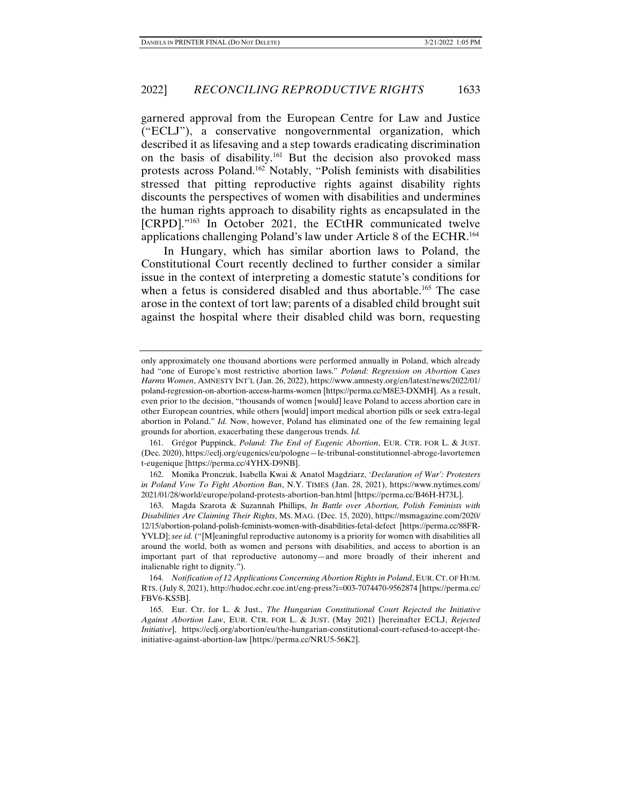garnered approval from the European Centre for Law and Justice ("ECLJ"), a conservative nongovernmental organization, which described it as lifesaving and a step towards eradicating discrimination on the basis of disability.161 But the decision also provoked mass protests across Poland.162 Notably, "Polish feminists with disabilities stressed that pitting reproductive rights against disability rights discounts the perspectives of women with disabilities and undermines the human rights approach to disability rights as encapsulated in the [CRPD]."<sup>163</sup> In October 2021, the ECtHR communicated twelve applications challenging Poland's law under Article 8 of the ECHR.164

In Hungary, which has similar abortion laws to Poland, the Constitutional Court recently declined to further consider a similar issue in the context of interpreting a domestic statute's conditions for when a fetus is considered disabled and thus abortable.<sup>165</sup> The case arose in the context of tort law; parents of a disabled child brought suit against the hospital where their disabled child was born, requesting

only approximately one thousand abortions were performed annually in Poland, which already had "one of Europe's most restrictive abortion laws." *Poland: Regression on Abortion Cases Harms Women*, AMNESTY INT'L (Jan. 26, 2022), https://www.amnesty.org/en/latest/news/2022/01/ poland-regression-on-abortion-access-harms-women [https://perma.cc/M8E3-DXMH]. As a result, even prior to the decision, "thousands of women [would] leave Poland to access abortion care in other European countries, while others [would] import medical abortion pills or seek extra-legal abortion in Poland." *Id.* Now, however, Poland has eliminated one of the few remaining legal grounds for abortion, exacerbating these dangerous trends. *Id.* 

 <sup>161.</sup> Grégor Puppinck, *Poland: The End of Eugenic Abortion*, EUR. CTR. FOR L. & JUST. (Dec. 2020), https://eclj.org/eugenics/eu/pologne—le-tribunal-constitutionnel-abroge-lavortemen t-eugenique [https://perma.cc/4YHX-D9NB].

 <sup>162.</sup> Monika Pronczuk, Isabella Kwai & Anatol Magdziarz, *'Declaration of War': Protesters in Poland Vow To Fight Abortion Ban*, N.Y. TIMES (Jan. 28, 2021), https://www.nytimes.com/ 2021/01/28/world/europe/poland-protests-abortion-ban.html [https://perma.cc/B46H-H73L].

 <sup>163.</sup> Magda Szarota & Suzannah Phillips, *In Battle over Abortion, Polish Feminists with Disabilities Are Claiming Their Rights*, MS. MAG. (Dec. 15, 2020), https://msmagazine.com/2020/ 12/15/abortion-poland-polish-feminists-women-with-disabilities-fetal-defect [https://perma.cc/88FR-YVLD]; *see id.* ("[M]eaningful reproductive autonomy is a priority for women with disabilities all around the world, both as women and persons with disabilities, and access to abortion is an important part of that reproductive autonomy—and more broadly of their inherent and inalienable right to dignity.").

 <sup>164.</sup> *Notification of 12 Applications Concerning Abortion Rights in Poland*, EUR. CT. OF HUM. RTS. (July 8, 2021), http://hudoc.echr.coe.int/eng-press?i=003-7074470-9562874 [https://perma.cc/ FBV6-KS5B].

 <sup>165.</sup> Eur. Ctr. for L. & Just., *The Hungarian Constitutional Court Rejected the Initiative Against Abortion Law*, EUR. CTR. FOR L. & JUST. (May 2021) [hereinafter ECLJ, *Rejected Initiative*], https://eclj.org/abortion/eu/the-hungarian-constitutional-court-refused-to-accept-theinitiative-against-abortion-law [https://perma.cc/NRU5-56K2].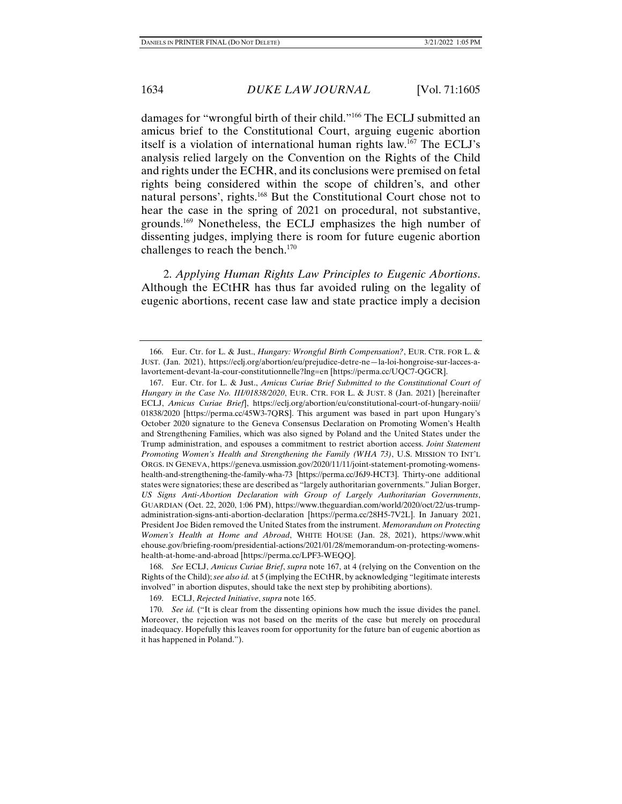damages for "wrongful birth of their child."166 The ECLJ submitted an amicus brief to the Constitutional Court, arguing eugenic abortion itself is a violation of international human rights law.167 The ECLJ's analysis relied largely on the Convention on the Rights of the Child and rights under the ECHR, and its conclusions were premised on fetal rights being considered within the scope of children's, and other natural persons', rights.168 But the Constitutional Court chose not to hear the case in the spring of 2021 on procedural, not substantive, grounds.169 Nonetheless, the ECLJ emphasizes the high number of dissenting judges, implying there is room for future eugenic abortion challenges to reach the bench.170

2. *Applying Human Rights Law Principles to Eugenic Abortions*. Although the ECtHR has thus far avoided ruling on the legality of eugenic abortions, recent case law and state practice imply a decision

 168. *See* ECLJ, *Amicus Curiae Brief*, *supra* note 167, at 4 (relying on the Convention on the Rights of the Child); *see also id.* at 5 (implying the ECtHR, by acknowledging "legitimate interests involved" in abortion disputes, should take the next step by prohibiting abortions).

 <sup>166.</sup> Eur. Ctr. for L. & Just., *Hungary: Wrongful Birth Compensation?*, EUR. CTR. FOR L. & JUST. (Jan. 2021), https://eclj.org/abortion/eu/prejudice-detre-ne—la-loi-hongroise-sur-lacces-alavortement-devant-la-cour-constitutionnelle?lng=en [https://perma.cc/UQC7-QGCR].

 <sup>167.</sup> Eur. Ctr. for L. & Just., *Amicus Curiae Brief Submitted to the Constitutional Court of Hungary in the Case No. III/01838/2020*, EUR. CTR. FOR L. & JUST. 8 (Jan. 2021) [hereinafter ECLJ, *Amicus Curiae Brief*], https://eclj.org/abortion/eu/constitutional-court-of-hungary-noiii/ 01838/2020 [https://perma.cc/45W3-7QRS]. This argument was based in part upon Hungary's October 2020 signature to the Geneva Consensus Declaration on Promoting Women's Health and Strengthening Families, which was also signed by Poland and the United States under the Trump administration, and espouses a commitment to restrict abortion access. *Joint Statement Promoting Women's Health and Strengthening the Family (WHA 73)*, U.S. MISSION TO INT'L ORGS. IN GENEVA, https://geneva.usmission.gov/2020/11/11/joint-statement-promoting-womenshealth-and-strengthening-the-family-wha-73 [https://perma.cc/J6J9-HCT3]. Thirty-one additional states were signatories; these are described as "largely authoritarian governments." Julian Borger, *US Signs Anti-Abortion Declaration with Group of Largely Authoritarian Governments*, GUARDIAN (Oct. 22, 2020, 1:06 PM), https://www.theguardian.com/world/2020/oct/22/us-trumpadministration-signs-anti-abortion-declaration [https://perma.cc/28H5-7V2L]. In January 2021, President Joe Biden removed the United States from the instrument. *Memorandum on Protecting Women's Health at Home and Abroad*, WHITE HOUSE (Jan. 28, 2021), https://www.whit ehouse.gov/briefing-room/presidential-actions/2021/01/28/memorandum-on-protecting-womenshealth-at-home-and-abroad [https://perma.cc/LPF3-WEQQ].

 <sup>169.</sup> ECLJ, *Rejected Initiative*, *supra* note 165.

<sup>170.</sup> *See id.* ("It is clear from the dissenting opinions how much the issue divides the panel. Moreover, the rejection was not based on the merits of the case but merely on procedural inadequacy. Hopefully this leaves room for opportunity for the future ban of eugenic abortion as it has happened in Poland.").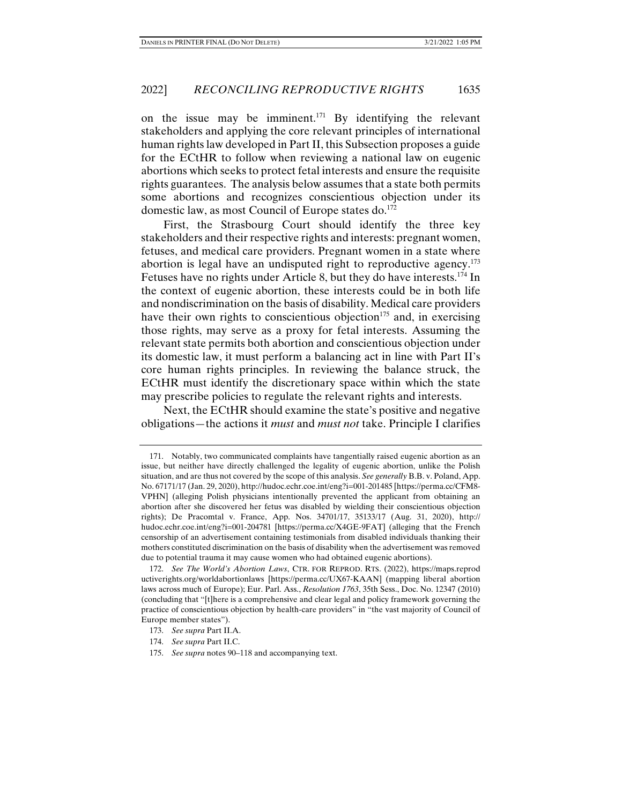on the issue may be imminent.<sup>171</sup> By identifying the relevant stakeholders and applying the core relevant principles of international human rights law developed in Part II, this Subsection proposes a guide for the ECtHR to follow when reviewing a national law on eugenic abortions which seeks to protect fetal interests and ensure the requisite rights guarantees. The analysis below assumes that a state both permits some abortions and recognizes conscientious objection under its domestic law, as most Council of Europe states do.<sup>172</sup>

First, the Strasbourg Court should identify the three key stakeholders and their respective rights and interests: pregnant women, fetuses, and medical care providers. Pregnant women in a state where abortion is legal have an undisputed right to reproductive agency.<sup>173</sup> Fetuses have no rights under Article 8, but they do have interests.<sup>174</sup> In the context of eugenic abortion, these interests could be in both life and nondiscrimination on the basis of disability. Medical care providers have their own rights to conscientious objection<sup>175</sup> and, in exercising those rights, may serve as a proxy for fetal interests. Assuming the relevant state permits both abortion and conscientious objection under its domestic law, it must perform a balancing act in line with Part II's core human rights principles. In reviewing the balance struck, the ECtHR must identify the discretionary space within which the state may prescribe policies to regulate the relevant rights and interests.

Next, the ECtHR should examine the state's positive and negative obligations—the actions it *must* and *must not* take. Principle I clarifies

 <sup>171.</sup> Notably, two communicated complaints have tangentially raised eugenic abortion as an issue, but neither have directly challenged the legality of eugenic abortion, unlike the Polish situation, and are thus not covered by the scope of this analysis. *See generally* B.B. v. Poland, App. No. 67171/17 (Jan. 29, 2020), http://hudoc.echr.coe.int/eng?i=001-201485 [https://perma.cc/CFM8- VPHN] (alleging Polish physicians intentionally prevented the applicant from obtaining an abortion after she discovered her fetus was disabled by wielding their conscientious objection rights); De Pracomtal v. France, App. Nos. 34701/17, 35133/17 (Aug. 31, 2020), http:// hudoc.echr.coe.int/eng?i=001-204781 [https://perma.cc/X4GE-9FAT] (alleging that the French censorship of an advertisement containing testimonials from disabled individuals thanking their mothers constituted discrimination on the basis of disability when the advertisement was removed due to potential trauma it may cause women who had obtained eugenic abortions).

 <sup>172.</sup> *See The World's Abortion Laws*, CTR. FOR REPROD. RTS. (2022), https://maps.reprod uctiverights.org/worldabortionlaws [https://perma.cc/UX67-KAAN] (mapping liberal abortion laws across much of Europe); Eur. Parl. Ass., *Resolution 1763*, 35th Sess., Doc. No. 12347 (2010) (concluding that "[t]here is a comprehensive and clear legal and policy framework governing the practice of conscientious objection by health-care providers" in "the vast majority of Council of Europe member states").

 <sup>173.</sup> *See supra* Part II.A.

 <sup>174.</sup> *See supra* Part II.C.

 <sup>175.</sup> *See supra* notes 90–118 and accompanying text.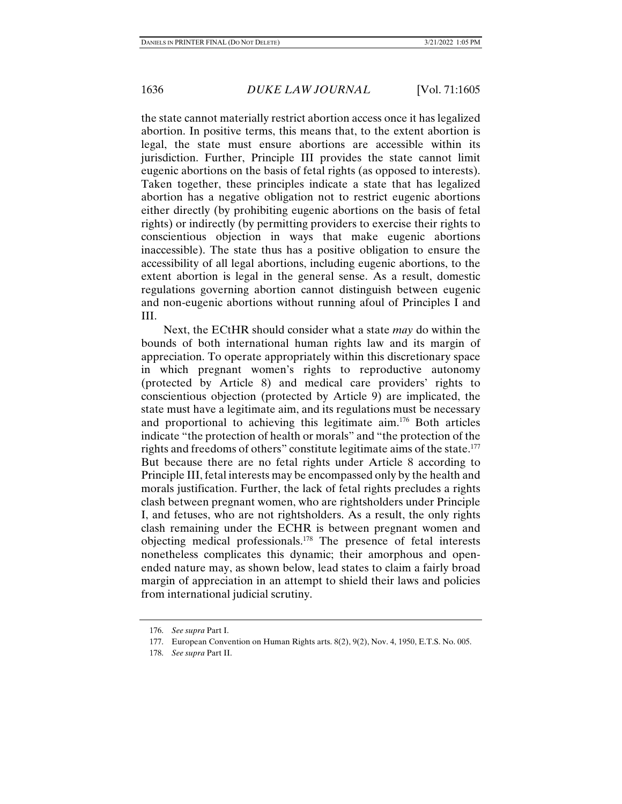the state cannot materially restrict abortion access once it has legalized abortion. In positive terms, this means that, to the extent abortion is legal, the state must ensure abortions are accessible within its jurisdiction. Further, Principle III provides the state cannot limit eugenic abortions on the basis of fetal rights (as opposed to interests). Taken together, these principles indicate a state that has legalized abortion has a negative obligation not to restrict eugenic abortions either directly (by prohibiting eugenic abortions on the basis of fetal rights) or indirectly (by permitting providers to exercise their rights to conscientious objection in ways that make eugenic abortions inaccessible). The state thus has a positive obligation to ensure the accessibility of all legal abortions, including eugenic abortions, to the extent abortion is legal in the general sense. As a result, domestic regulations governing abortion cannot distinguish between eugenic and non-eugenic abortions without running afoul of Principles I and III.

Next, the ECtHR should consider what a state *may* do within the bounds of both international human rights law and its margin of appreciation. To operate appropriately within this discretionary space in which pregnant women's rights to reproductive autonomy (protected by Article 8) and medical care providers' rights to conscientious objection (protected by Article 9) are implicated, the state must have a legitimate aim, and its regulations must be necessary and proportional to achieving this legitimate aim.176 Both articles indicate "the protection of health or morals" and "the protection of the rights and freedoms of others" constitute legitimate aims of the state.<sup>177</sup> But because there are no fetal rights under Article 8 according to Principle III, fetal interests may be encompassed only by the health and morals justification. Further, the lack of fetal rights precludes a rights clash between pregnant women, who are rightsholders under Principle I, and fetuses, who are not rightsholders. As a result, the only rights clash remaining under the ECHR is between pregnant women and objecting medical professionals.178 The presence of fetal interests nonetheless complicates this dynamic; their amorphous and openended nature may, as shown below, lead states to claim a fairly broad margin of appreciation in an attempt to shield their laws and policies from international judicial scrutiny.

 <sup>176.</sup> *See supra* Part I.

 <sup>177.</sup> European Convention on Human Rights arts. 8(2), 9(2), Nov. 4, 1950, E.T.S. No. 005.

 <sup>178.</sup> *See supra* Part II.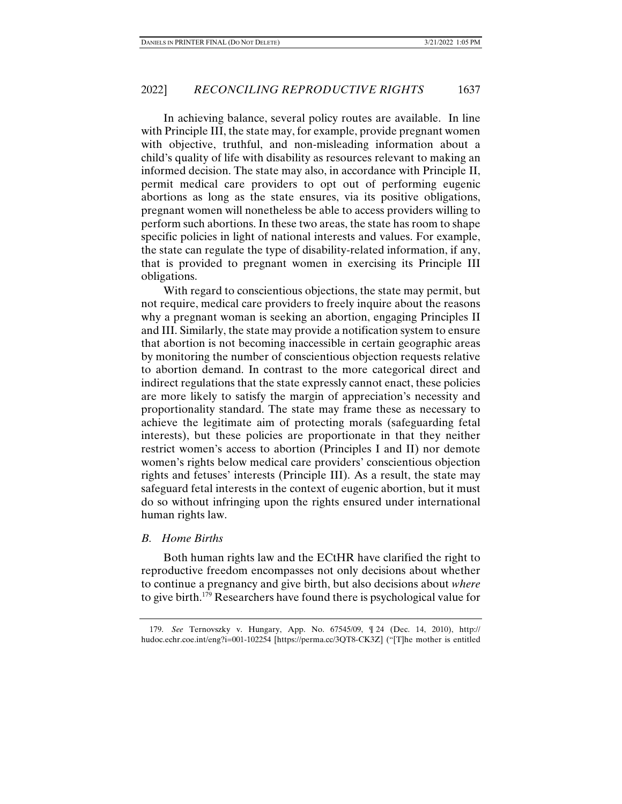In achieving balance, several policy routes are available. In line with Principle III, the state may, for example, provide pregnant women with objective, truthful, and non-misleading information about a child's quality of life with disability as resources relevant to making an informed decision. The state may also, in accordance with Principle II, permit medical care providers to opt out of performing eugenic abortions as long as the state ensures, via its positive obligations, pregnant women will nonetheless be able to access providers willing to perform such abortions. In these two areas, the state has room to shape specific policies in light of national interests and values. For example, the state can regulate the type of disability-related information, if any, that is provided to pregnant women in exercising its Principle III obligations.

With regard to conscientious objections, the state may permit, but not require, medical care providers to freely inquire about the reasons why a pregnant woman is seeking an abortion, engaging Principles II and III. Similarly, the state may provide a notification system to ensure that abortion is not becoming inaccessible in certain geographic areas by monitoring the number of conscientious objection requests relative to abortion demand. In contrast to the more categorical direct and indirect regulations that the state expressly cannot enact, these policies are more likely to satisfy the margin of appreciation's necessity and proportionality standard. The state may frame these as necessary to achieve the legitimate aim of protecting morals (safeguarding fetal interests), but these policies are proportionate in that they neither restrict women's access to abortion (Principles I and II) nor demote women's rights below medical care providers' conscientious objection rights and fetuses' interests (Principle III). As a result, the state may safeguard fetal interests in the context of eugenic abortion, but it must do so without infringing upon the rights ensured under international human rights law.

### *B. Home Births*

Both human rights law and the ECtHR have clarified the right to reproductive freedom encompasses not only decisions about whether to continue a pregnancy and give birth, but also decisions about *where*  to give birth.179 Researchers have found there is psychological value for

 <sup>179.</sup> *See* Ternovszky v. Hungary, App. No. 67545/09, ¶ 24 (Dec. 14, 2010), http:// hudoc.echr.coe.int/eng?i=001-102254 [https://perma.cc/3QT8-CK3Z] ("[T]he mother is entitled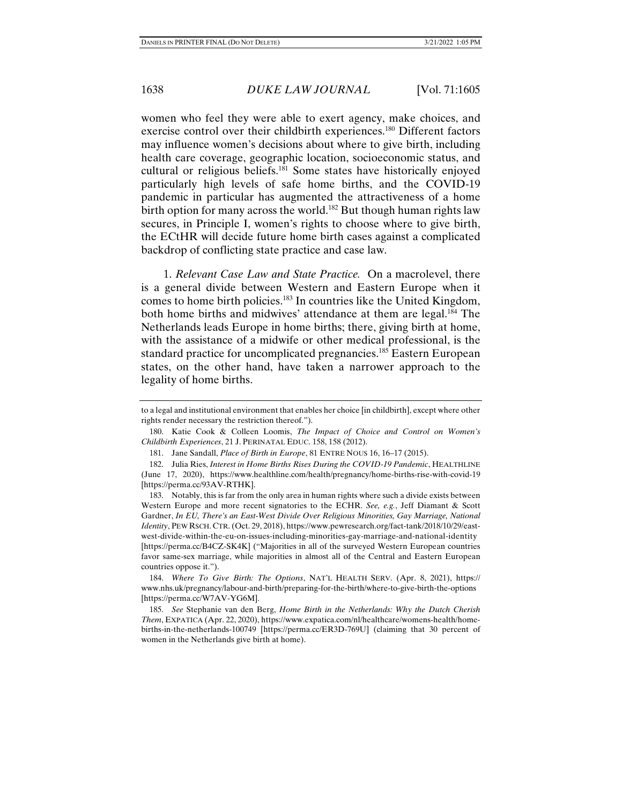women who feel they were able to exert agency, make choices, and exercise control over their childbirth experiences.180 Different factors may influence women's decisions about where to give birth, including health care coverage, geographic location, socioeconomic status, and cultural or religious beliefs.<sup>181</sup> Some states have historically enjoyed particularly high levels of safe home births, and the COVID-19 pandemic in particular has augmented the attractiveness of a home birth option for many across the world.<sup>182</sup> But though human rights law secures, in Principle I, women's rights to choose where to give birth, the ECtHR will decide future home birth cases against a complicated backdrop of conflicting state practice and case law.

1. *Relevant Case Law and State Practice.* On a macrolevel, there is a general divide between Western and Eastern Europe when it comes to home birth policies.183 In countries like the United Kingdom, both home births and midwives' attendance at them are legal.<sup>184</sup> The Netherlands leads Europe in home births; there, giving birth at home, with the assistance of a midwife or other medical professional, is the standard practice for uncomplicated pregnancies.<sup>185</sup> Eastern European states, on the other hand, have taken a narrower approach to the legality of home births.

to a legal and institutional environment that enables her choice [in childbirth], except where other rights render necessary the restriction thereof.").

 <sup>180.</sup> Katie Cook & Colleen Loomis, *The Impact of Choice and Control on Women's Childbirth Experiences*, 21 J. PERINATAL EDUC. 158, 158 (2012).

 <sup>181.</sup> Jane Sandall, *Place of Birth in Europe*, 81 ENTRE NOUS 16, 16–17 (2015).

 <sup>182.</sup> Julia Ries, *Interest in Home Births Rises During the COVID-19 Pandemic*, HEALTHLINE (June 17, 2020), https://www.healthline.com/health/pregnancy/home-births-rise-with-covid-19 [https://perma.cc/93AV-RTHK].

 <sup>183.</sup> Notably, this is far from the only area in human rights where such a divide exists between Western Europe and more recent signatories to the ECHR. *See, e.g.*, Jeff Diamant & Scott Gardner, *In EU, There's an East-West Divide Over Religious Minorities, Gay Marriage, National Identity*, PEW RSCH. CTR. (Oct. 29, 2018), https://www.pewresearch.org/fact-tank/2018/10/29/eastwest-divide-within-the-eu-on-issues-including-minorities-gay-marriage-and-national-identity [https://perma.cc/B4CZ-SK4K] ("Majorities in all of the surveyed Western European countries favor same-sex marriage, while majorities in almost all of the Central and Eastern European countries oppose it.").

 <sup>184.</sup> *Where To Give Birth: The Options*, NAT'L HEALTH SERV. (Apr. 8, 2021), https:// www.nhs.uk/pregnancy/labour-and-birth/preparing-for-the-birth/where-to-give-birth-the-options [https://perma.cc/W7AV-YG6M].

 <sup>185.</sup> *See* Stephanie van den Berg, *Home Birth in the Netherlands: Why the Dutch Cherish Them*, EXPATICA (Apr. 22, 2020), https://www.expatica.com/nl/healthcare/womens-health/homebirths-in-the-netherlands-100749 [https://perma.cc/ER3D-769U] (claiming that 30 percent of women in the Netherlands give birth at home).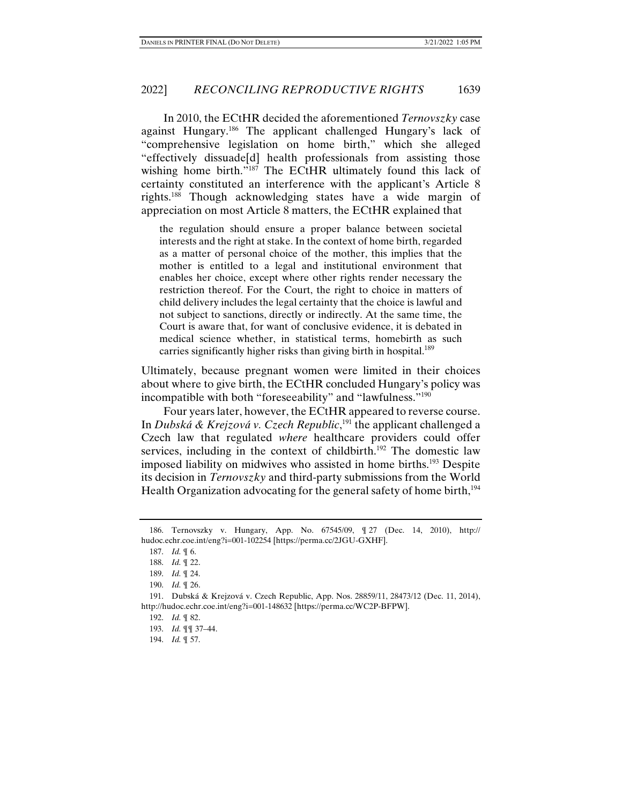In 2010, the ECtHR decided the aforementioned *Ternovszky* case against Hungary.186 The applicant challenged Hungary's lack of "comprehensive legislation on home birth," which she alleged "effectively dissuade[d] health professionals from assisting those wishing home birth."<sup>187</sup> The ECtHR ultimately found this lack of certainty constituted an interference with the applicant's Article 8 rights.188 Though acknowledging states have a wide margin of appreciation on most Article 8 matters, the ECtHR explained that

the regulation should ensure a proper balance between societal interests and the right at stake. In the context of home birth, regarded as a matter of personal choice of the mother, this implies that the mother is entitled to a legal and institutional environment that enables her choice, except where other rights render necessary the restriction thereof. For the Court, the right to choice in matters of child delivery includes the legal certainty that the choice is lawful and not subject to sanctions, directly or indirectly. At the same time, the Court is aware that, for want of conclusive evidence, it is debated in medical science whether, in statistical terms, homebirth as such carries significantly higher risks than giving birth in hospital.<sup>189</sup>

Ultimately, because pregnant women were limited in their choices about where to give birth, the ECtHR concluded Hungary's policy was incompatible with both "foreseeability" and "lawfulness."190

Four years later, however, the ECtHR appeared to reverse course. In *Dubská & Krejzová v. Czech Republic*, 191 the applicant challenged a Czech law that regulated *where* healthcare providers could offer services, including in the context of childbirth.<sup>192</sup> The domestic law imposed liability on midwives who assisted in home births.193 Despite its decision in *Ternovszky* and third-party submissions from the World Health Organization advocating for the general safety of home birth, $194$ 

 <sup>186.</sup> Ternovszky v. Hungary, App. No. 67545/09, ¶ 27 (Dec. 14, 2010), http:// hudoc.echr.coe.int/eng?i=001-102254 [https://perma.cc/2JGU-GXHF].

 <sup>187.</sup> *Id.* ¶ 6.

 <sup>188.</sup> *Id.* ¶ 22.

 <sup>189.</sup> *Id.* ¶ 24.

 <sup>190.</sup> *Id.* ¶ 26.

 <sup>191.</sup> Dubská & Krejzová v. Czech Republic, App. Nos. 28859/11, 28473/12 (Dec. 11, 2014), http://hudoc.echr.coe.int/eng?i=001-148632 [https://perma.cc/WC2P-BFPW].

 <sup>192.</sup> *Id.* ¶ 82.

 <sup>193.</sup> *Id.* ¶¶ 37–44.

 <sup>194.</sup> *Id.* ¶ 57.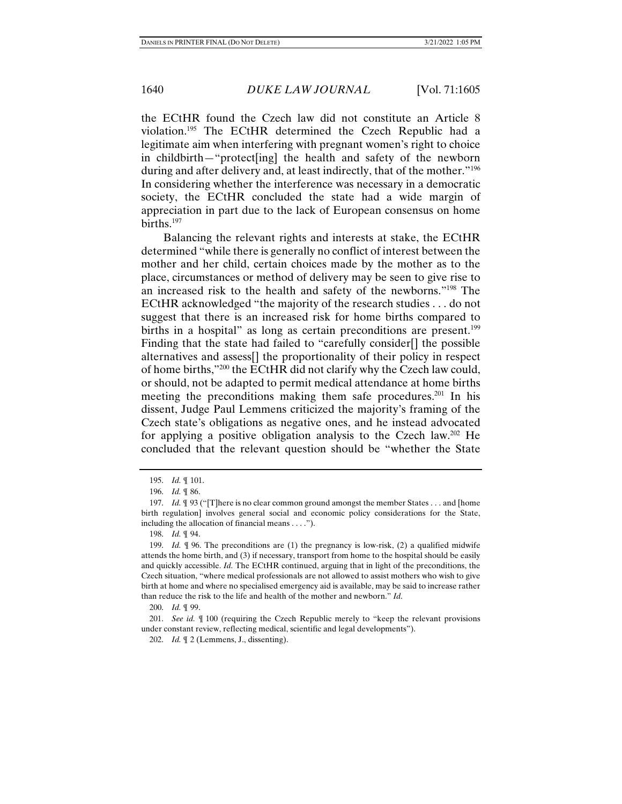the ECtHR found the Czech law did not constitute an Article 8 violation.195 The ECtHR determined the Czech Republic had a legitimate aim when interfering with pregnant women's right to choice in childbirth—"protect[ing] the health and safety of the newborn during and after delivery and, at least indirectly, that of the mother.<sup>"196</sup> In considering whether the interference was necessary in a democratic society, the ECtHR concluded the state had a wide margin of appreciation in part due to the lack of European consensus on home births.<sup>197</sup>

Balancing the relevant rights and interests at stake, the ECtHR determined "while there is generally no conflict of interest between the mother and her child, certain choices made by the mother as to the place, circumstances or method of delivery may be seen to give rise to an increased risk to the health and safety of the newborns."198 The ECtHR acknowledged "the majority of the research studies . . . do not suggest that there is an increased risk for home births compared to births in a hospital" as long as certain preconditions are present.<sup>199</sup> Finding that the state had failed to "carefully consider[] the possible alternatives and assess[] the proportionality of their policy in respect of home births,"200 the ECtHR did not clarify why the Czech law could, or should, not be adapted to permit medical attendance at home births meeting the preconditions making them safe procedures.<sup>201</sup> In his dissent, Judge Paul Lemmens criticized the majority's framing of the Czech state's obligations as negative ones, and he instead advocated for applying a positive obligation analysis to the Czech law.<sup>202</sup> He concluded that the relevant question should be "whether the State

200. *Id.* ¶ 99.

 <sup>195.</sup> *Id.* ¶ 101.

 <sup>196.</sup> *Id.* ¶ 86.

 <sup>197.</sup> *Id.* ¶ 93 ("[T]here is no clear common ground amongst the member States . . . and [home birth regulation] involves general social and economic policy considerations for the State, including the allocation of financial means . . . .").

 <sup>198.</sup> *Id.* ¶ 94.

 <sup>199.</sup> *Id.* ¶ 96. The preconditions are (1) the pregnancy is low-risk, (2) a qualified midwife attends the home birth, and (3) if necessary, transport from home to the hospital should be easily and quickly accessible. *Id.* The ECtHR continued, arguing that in light of the preconditions, the Czech situation, "where medical professionals are not allowed to assist mothers who wish to give birth at home and where no specialised emergency aid is available, may be said to increase rather than reduce the risk to the life and health of the mother and newborn." *Id.* 

 <sup>201.</sup> *See id.* ¶ 100 (requiring the Czech Republic merely to "keep the relevant provisions under constant review, reflecting medical, scientific and legal developments").

 <sup>202.</sup> *Id.* ¶ 2 (Lemmens, J., dissenting).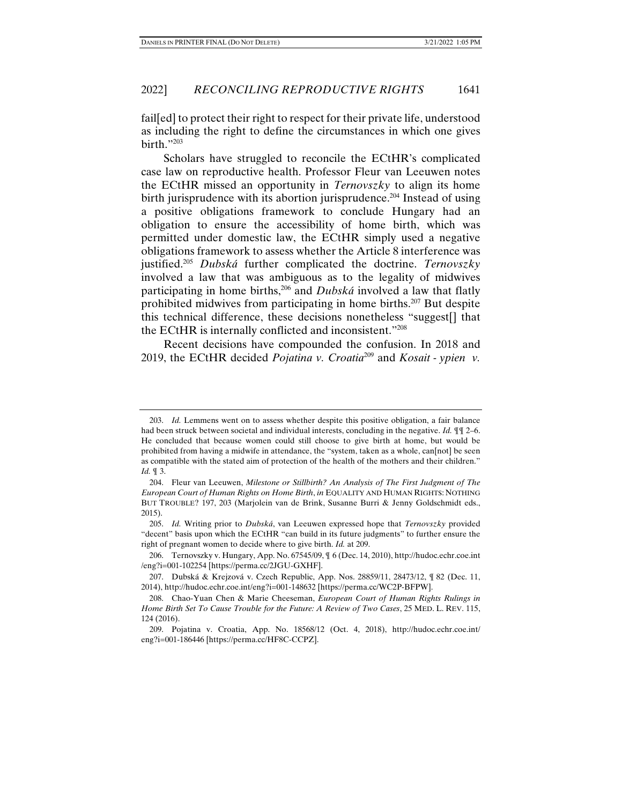fail[ed] to protect their right to respect for their private life, understood as including the right to define the circumstances in which one gives birth."203

Scholars have struggled to reconcile the ECtHR's complicated case law on reproductive health. Professor Fleur van Leeuwen notes the ECtHR missed an opportunity in *Ternovszky* to align its home birth jurisprudence with its abortion jurisprudence.<sup>204</sup> Instead of using a positive obligations framework to conclude Hungary had an obligation to ensure the accessibility of home birth, which was permitted under domestic law, the ECtHR simply used a negative obligations framework to assess whether the Article 8 interference was justified.205 *Dubská* further complicated the doctrine. *Ternovszky* involved a law that was ambiguous as to the legality of midwives participating in home births,206 and *Dubská* involved a law that flatly prohibited midwives from participating in home births.207 But despite this technical difference, these decisions nonetheless "suggest[] that the ECtHR is internally conflicted and inconsistent."208

Recent decisions have compounded the confusion. In 2018 and 2019, the ECtHR decided *Pojatina v. Croatia*209 and *Kosait - ypien v.* 

 <sup>203.</sup> *Id.* Lemmens went on to assess whether despite this positive obligation, a fair balance had been struck between societal and individual interests, concluding in the negative. *Id.* ¶¶ 2–6. He concluded that because women could still choose to give birth at home, but would be prohibited from having a midwife in attendance, the "system, taken as a whole, can[not] be seen as compatible with the stated aim of protection of the health of the mothers and their children." *Id.* ¶ 3.

 <sup>204.</sup> Fleur van Leeuwen, *Milestone or Stillbirth? An Analysis of The First Judgment of The European Court of Human Rights on Home Birth*, *in* EQUALITY AND HUMAN RIGHTS: NOTHING BUT TROUBLE? 197, 203 (Marjolein van de Brink, Susanne Burri & Jenny Goldschmidt eds., 2015).

 <sup>205.</sup> *Id.* Writing prior to *Dubská*, van Leeuwen expressed hope that *Ternovszky* provided "decent" basis upon which the ECtHR "can build in its future judgments" to further ensure the right of pregnant women to decide where to give birth. *Id.* at 209.

 <sup>206.</sup> Ternovszky v. Hungary, App. No. 67545/09, ¶ 6 (Dec. 14, 2010), http://hudoc.echr.coe.int /eng?i=001-102254 [https://perma.cc/2JGU-GXHF].

 <sup>207.</sup> Dubská & Krejzová v. Czech Republic, App. Nos. 28859/11, 28473/12, ¶ 82 (Dec. 11, 2014), http://hudoc.echr.coe.int/eng?i=001-148632 [https://perma.cc/WC2P-BFPW].

 <sup>208.</sup> Chao-Yuan Chen & Marie Cheeseman, *European Court of Human Rights Rulings in Home Birth Set To Cause Trouble for the Future: A Review of Two Cases*, 25 MED. L. REV. 115, 124 (2016).

 <sup>209.</sup> Pojatina v. Croatia, App. No. 18568/12 (Oct. 4, 2018), http://hudoc.echr.coe.int/ eng?i=001-186446 [https://perma.cc/HF8C-CCPZ].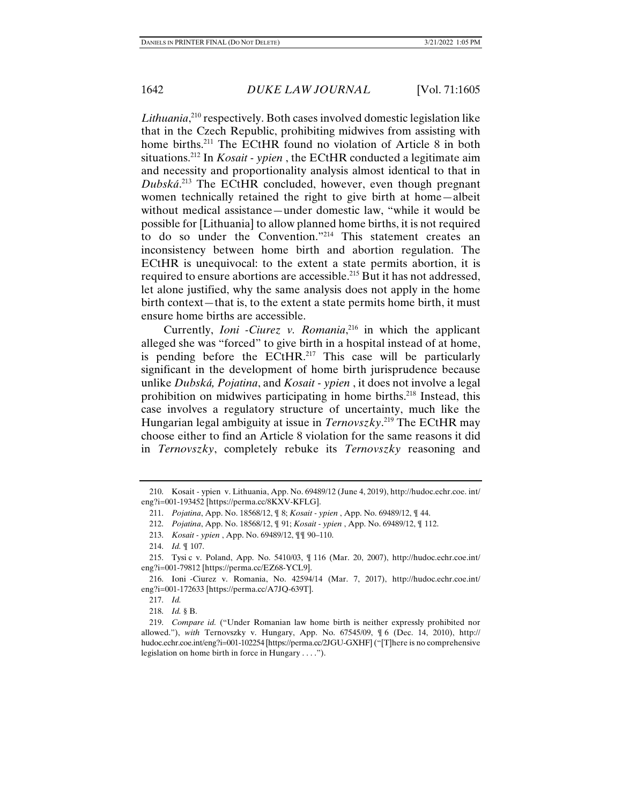Lithuania,<sup>210</sup> respectively. Both cases involved domestic legislation like that in the Czech Republic, prohibiting midwives from assisting with home births.<sup>211</sup> The ECtHR found no violation of Article 8 in both situations.212 In *Kosait - ypien* , the ECtHR conducted a legitimate aim and necessity and proportionality analysis almost identical to that in *Dubská*. 213 The ECtHR concluded, however, even though pregnant women technically retained the right to give birth at home—albeit without medical assistance—under domestic law, "while it would be possible for [Lithuania] to allow planned home births, it is not required to do so under the Convention."214 This statement creates an inconsistency between home birth and abortion regulation. The ECtHR is unequivocal: to the extent a state permits abortion, it is required to ensure abortions are accessible.215 But it has not addressed, let alone justified, why the same analysis does not apply in the home birth context—that is, to the extent a state permits home birth, it must ensure home births are accessible.

Currently, *Ioni -Ciurez v. Romania*, 216 in which the applicant alleged she was "forced" to give birth in a hospital instead of at home, is pending before the  $ECHR<sup>217</sup>$  This case will be particularly significant in the development of home birth jurisprudence because unlike *Dubská, Pojatina*, and *Kosait - ypien* , it does not involve a legal prohibition on midwives participating in home births.218 Instead, this case involves a regulatory structure of uncertainty, much like the Hungarian legal ambiguity at issue in *Ternovszky*. 219 The ECtHR may choose either to find an Article 8 violation for the same reasons it did in *Ternovszky*, completely rebuke its *Ternovszky* reasoning and

 <sup>210.</sup> Kosait - ypien v. Lithuania, App. No. 69489/12 (June 4, 2019), http://hudoc.echr.coe. int/ eng?i=001-193452 [https://perma.cc/8KXV-KFLG].

 <sup>211.</sup> *Pojatina*, App. No. 18568/12, ¶ 8; *Kosait - ypien* , App. No. 69489/12, ¶ 44.

 <sup>212.</sup> *Pojatina*, App. No. 18568/12, ¶ 91; *Kosait - ypien* , App. No. 69489/12, ¶ 112.

 <sup>213.</sup> *Kosait - ypien* , App. No. 69489/12, ¶¶ 90–110.

 <sup>214.</sup> *Id.* ¶ 107.

 <sup>215.</sup> Tysi c v. Poland, App. No. 5410/03, ¶ 116 (Mar. 20, 2007), http://hudoc.echr.coe.int/ eng?i=001-79812 [https://perma.cc/EZ68-YCL9].

 <sup>216.</sup> Ioni -Ciurez v. Romania, No. 42594/14 (Mar. 7, 2017), http://hudoc.echr.coe.int/ eng?i=001-172633 [https://perma.cc/A7JQ-639T].

 <sup>217.</sup> *Id.*

 <sup>218.</sup> *Id.* § B.

 <sup>219.</sup> *Compare id.* ("Under Romanian law home birth is neither expressly prohibited nor allowed."), *with* Ternovszky v. Hungary, App. No. 67545/09, ¶ 6 (Dec. 14, 2010), http:// hudoc.echr.coe.int/eng?i=001-102254 [https://perma.cc/2JGU-GXHF] ("[T]here is no comprehensive legislation on home birth in force in Hungary . . . .").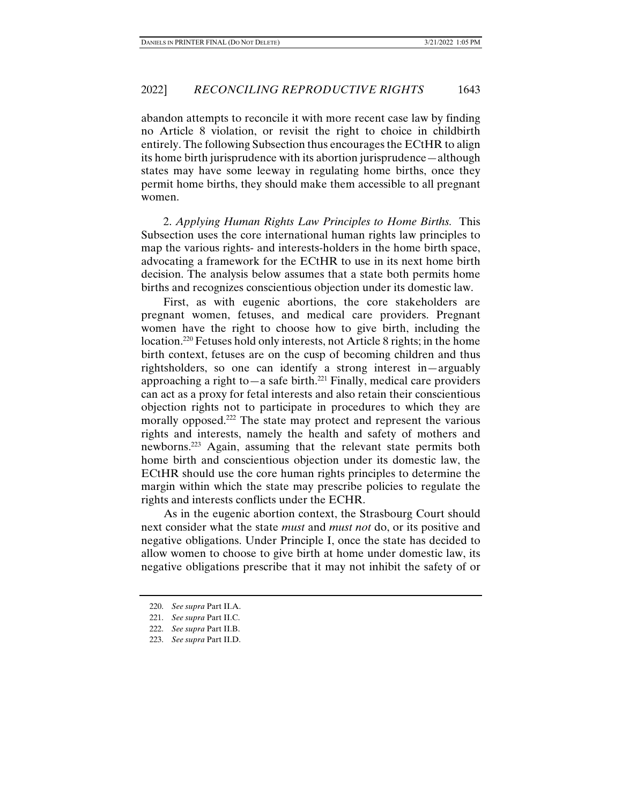abandon attempts to reconcile it with more recent case law by finding no Article 8 violation, or revisit the right to choice in childbirth entirely. The following Subsection thus encourages the ECtHR to align its home birth jurisprudence with its abortion jurisprudence—although states may have some leeway in regulating home births, once they permit home births, they should make them accessible to all pregnant women.

2. *Applying Human Rights Law Principles to Home Births.* This Subsection uses the core international human rights law principles to map the various rights- and interests-holders in the home birth space, advocating a framework for the ECtHR to use in its next home birth decision. The analysis below assumes that a state both permits home births and recognizes conscientious objection under its domestic law.

First, as with eugenic abortions, the core stakeholders are pregnant women, fetuses, and medical care providers. Pregnant women have the right to choose how to give birth, including the location.<sup>220</sup> Fetuses hold only interests, not Article 8 rights; in the home birth context, fetuses are on the cusp of becoming children and thus rightsholders, so one can identify a strong interest in—arguably approaching a right to—a safe birth.<sup>221</sup> Finally, medical care providers can act as a proxy for fetal interests and also retain their conscientious objection rights not to participate in procedures to which they are morally opposed.<sup>222</sup> The state may protect and represent the various rights and interests, namely the health and safety of mothers and newborns.223 Again, assuming that the relevant state permits both home birth and conscientious objection under its domestic law, the ECtHR should use the core human rights principles to determine the margin within which the state may prescribe policies to regulate the rights and interests conflicts under the ECHR.

As in the eugenic abortion context, the Strasbourg Court should next consider what the state *must* and *must not* do, or its positive and negative obligations. Under Principle I, once the state has decided to allow women to choose to give birth at home under domestic law, its negative obligations prescribe that it may not inhibit the safety of or

 <sup>220.</sup> *See supra* Part II.A.

 <sup>221.</sup> *See supra* Part II.C.

 <sup>222.</sup> *See supra* Part II.B.

 <sup>223.</sup> *See supra* Part II.D.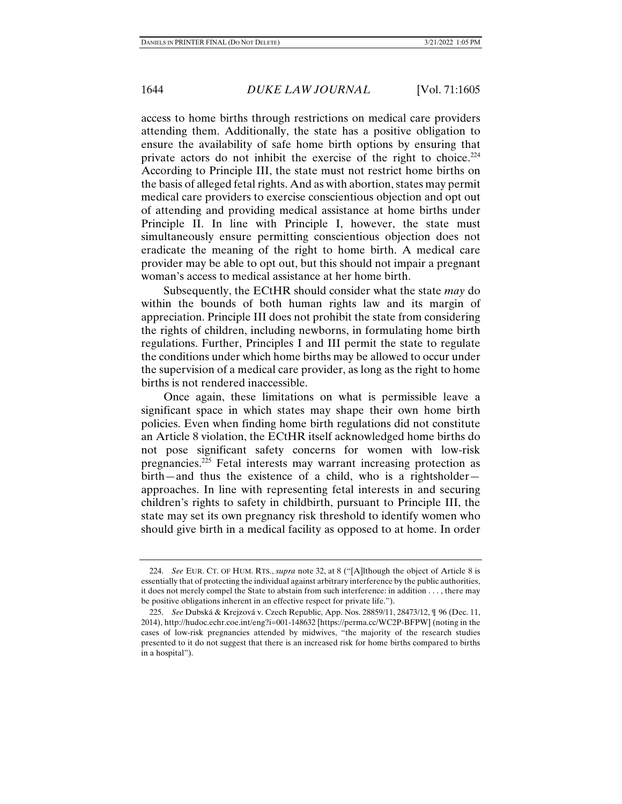access to home births through restrictions on medical care providers attending them. Additionally, the state has a positive obligation to ensure the availability of safe home birth options by ensuring that private actors do not inhibit the exercise of the right to choice. $224$ According to Principle III, the state must not restrict home births on the basis of alleged fetal rights. And as with abortion, states may permit medical care providers to exercise conscientious objection and opt out of attending and providing medical assistance at home births under Principle II. In line with Principle I, however, the state must simultaneously ensure permitting conscientious objection does not eradicate the meaning of the right to home birth. A medical care provider may be able to opt out, but this should not impair a pregnant woman's access to medical assistance at her home birth.

Subsequently, the ECtHR should consider what the state *may* do within the bounds of both human rights law and its margin of appreciation. Principle III does not prohibit the state from considering the rights of children, including newborns, in formulating home birth regulations. Further, Principles I and III permit the state to regulate the conditions under which home births may be allowed to occur under the supervision of a medical care provider, as long as the right to home births is not rendered inaccessible.

Once again, these limitations on what is permissible leave a significant space in which states may shape their own home birth policies. Even when finding home birth regulations did not constitute an Article 8 violation, the ECtHR itself acknowledged home births do not pose significant safety concerns for women with low-risk pregnancies.225 Fetal interests may warrant increasing protection as birth—and thus the existence of a child, who is a rightsholder approaches. In line with representing fetal interests in and securing children's rights to safety in childbirth, pursuant to Principle III, the state may set its own pregnancy risk threshold to identify women who should give birth in a medical facility as opposed to at home. In order

 <sup>224.</sup> *See* EUR. CT. OF HUM. RTS., *supra* note 32, at 8 ("[A]lthough the object of Article 8 is essentially that of protecting the individual against arbitrary interference by the public authorities, it does not merely compel the State to abstain from such interference: in addition . . . , there may be positive obligations inherent in an effective respect for private life.").

 <sup>225.</sup> *See* Dubská & Krejzová v. Czech Republic, App. Nos. 28859/11, 28473/12, ¶ 96 (Dec. 11, 2014), http://hudoc.echr.coe.int/eng?i=001-148632 [https://perma.cc/WC2P-BFPW] (noting in the cases of low-risk pregnancies attended by midwives, "the majority of the research studies presented to it do not suggest that there is an increased risk for home births compared to births in a hospital").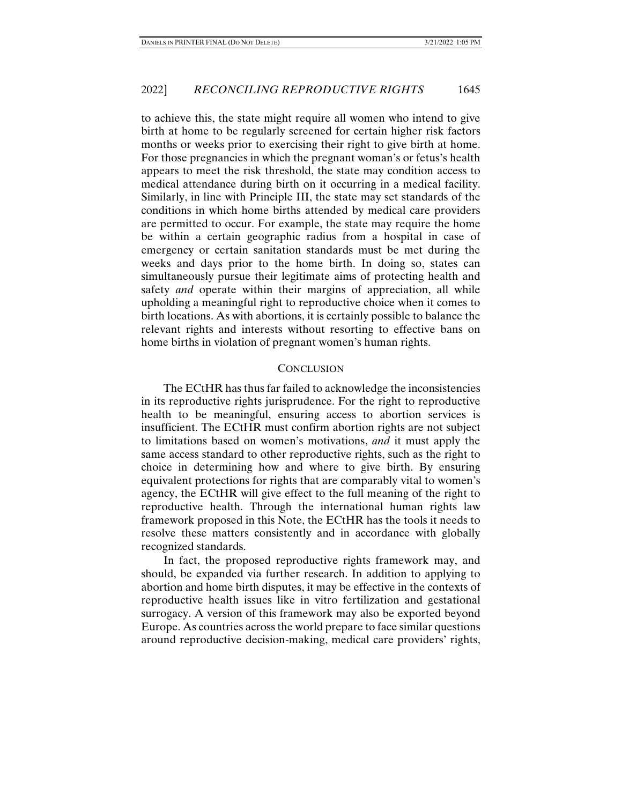to achieve this, the state might require all women who intend to give birth at home to be regularly screened for certain higher risk factors months or weeks prior to exercising their right to give birth at home. For those pregnancies in which the pregnant woman's or fetus's health appears to meet the risk threshold, the state may condition access to medical attendance during birth on it occurring in a medical facility. Similarly, in line with Principle III, the state may set standards of the conditions in which home births attended by medical care providers are permitted to occur. For example, the state may require the home be within a certain geographic radius from a hospital in case of emergency or certain sanitation standards must be met during the weeks and days prior to the home birth. In doing so, states can simultaneously pursue their legitimate aims of protecting health and safety *and* operate within their margins of appreciation, all while upholding a meaningful right to reproductive choice when it comes to birth locations. As with abortions, it is certainly possible to balance the relevant rights and interests without resorting to effective bans on home births in violation of pregnant women's human rights.

### **CONCLUSION**

The ECtHR has thus far failed to acknowledge the inconsistencies in its reproductive rights jurisprudence. For the right to reproductive health to be meaningful, ensuring access to abortion services is insufficient. The ECtHR must confirm abortion rights are not subject to limitations based on women's motivations, *and* it must apply the same access standard to other reproductive rights, such as the right to choice in determining how and where to give birth. By ensuring equivalent protections for rights that are comparably vital to women's agency, the ECtHR will give effect to the full meaning of the right to reproductive health. Through the international human rights law framework proposed in this Note, the ECtHR has the tools it needs to resolve these matters consistently and in accordance with globally recognized standards.

In fact, the proposed reproductive rights framework may, and should, be expanded via further research. In addition to applying to abortion and home birth disputes, it may be effective in the contexts of reproductive health issues like in vitro fertilization and gestational surrogacy. A version of this framework may also be exported beyond Europe. As countries across the world prepare to face similar questions around reproductive decision-making, medical care providers' rights,